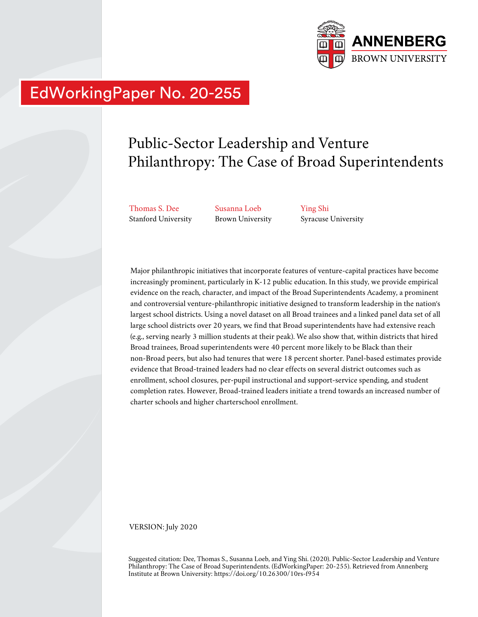

# EdWorkingPaper No. 20-255

## Public-Sector Leadership and Venture Philanthropy: The Case of Broad Superintendents

Thomas S. Dee Stanford University Susanna Loeb Brown University Ying Shi Syracuse University

Major philanthropic initiatives that incorporate features of venture-capital practices have become increasingly prominent, particularly in K-12 public education. In this study, we provide empirical evidence on the reach, character, and impact of the Broad Superintendents Academy, a prominent and controversial venture-philanthropic initiative designed to transform leadership in the nation's largest school districts. Using a novel dataset on all Broad trainees and a linked panel data set of all large school districts over 20 years, we find that Broad superintendents have had extensive reach (e.g., serving nearly 3 million students at their peak). We also show that, within districts that hired Broad trainees, Broad superintendents were 40 percent more likely to be Black than their non-Broad peers, but also had tenures that were 18 percent shorter. Panel-based estimates provide evidence that Broad-trained leaders had no clear effects on several district outcomes such as enrollment, school closures, per-pupil instructional and support-service spending, and student completion rates. However, Broad-trained leaders initiate a trend towards an increased number of charter schools and higher charterschool enrollment.

VERSION: July 2020

Suggested citation: Dee, Thomas S., Susanna Loeb, and Ying Shi. (2020). Public-Sector Leadership and Venture Philanthropy: The Case of Broad Superintendents. (EdWorkingPaper: 20-255). Retrieved from Annenberg Institute at Brown University: https://doi.org/10.26300/10rs-f954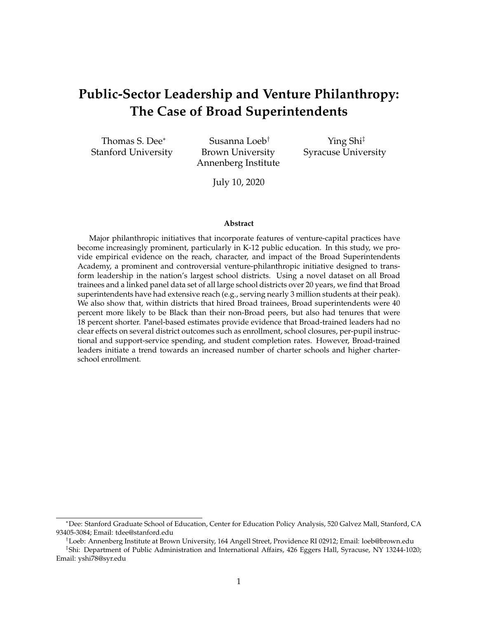## **Public-Sector Leadership and Venture Philanthropy: The Case of Broad Superintendents**

Thomas S. Dee<sup>∗</sup> Stanford University

Susanna Loeb† Brown University Annenberg Institute

Ying Shi‡ Syracuse University

July 10, 2020

#### **Abstract**

Major philanthropic initiatives that incorporate features of venture-capital practices have become increasingly prominent, particularly in K-12 public education. In this study, we provide empirical evidence on the reach, character, and impact of the Broad Superintendents Academy, a prominent and controversial venture-philanthropic initiative designed to transform leadership in the nation's largest school districts. Using a novel dataset on all Broad trainees and a linked panel data set of all large school districts over 20 years, we find that Broad superintendents have had extensive reach (e.g., serving nearly 3 million students at their peak). We also show that, within districts that hired Broad trainees, Broad superintendents were 40 percent more likely to be Black than their non-Broad peers, but also had tenures that were 18 percent shorter. Panel-based estimates provide evidence that Broad-trained leaders had no clear effects on several district outcomes such as enrollment, school closures, per-pupil instructional and support-service spending, and student completion rates. However, Broad-trained leaders initiate a trend towards an increased number of charter schools and higher charterschool enrollment.

<sup>∗</sup>Dee: Stanford Graduate School of Education, Center for Education Policy Analysis, 520 Galvez Mall, Stanford, CA 93405-3084; Email: tdee@stanford.edu

<sup>†</sup>Loeb: Annenberg Institute at Brown University, 164 Angell Street, Providence RI 02912; Email: loeb@brown.edu

<sup>‡</sup> Shi: Department of Public Administration and International Affairs, 426 Eggers Hall, Syracuse, NY 13244-1020; Email: yshi78@syr.edu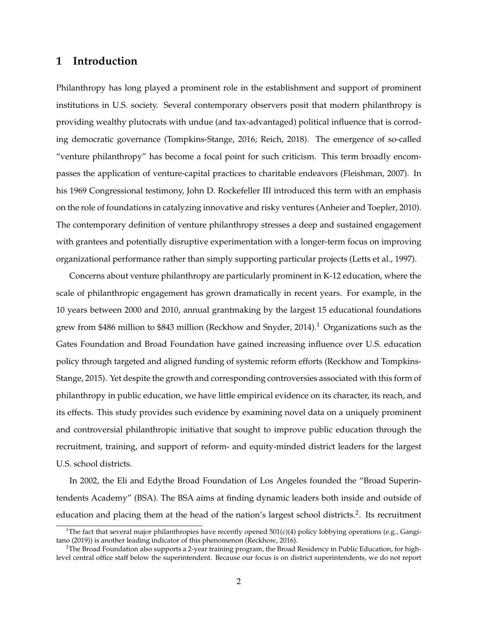### **1 Introduction**

Philanthropy has long played a prominent role in the establishment and support of prominent institutions in U.S. society. Several contemporary observers posit that modern philanthropy is providing wealthy plutocrats with undue (and tax-advantaged) political influence that is corroding democratic governance [\(Tompkins-Stange,](#page-26-0) [2016;](#page-26-0) [Reich,](#page-26-1) [2018\)](#page-26-1). The emergence of so-called "venture philanthropy" has become a focal point for such criticism. This term broadly encompasses the application of venture-capital practices to charitable endeavors [\(Fleishman,](#page-24-0) [2007\)](#page-24-0). In his 1969 Congressional testimony, John D. Rockefeller III introduced this term with an emphasis on the role of foundations in catalyzing innovative and risky ventures [\(Anheier and Toepler,](#page-24-1) [2010\)](#page-24-1). The contemporary definition of venture philanthropy stresses a deep and sustained engagement with grantees and potentially disruptive experimentation with a longer-term focus on improving organizational performance rather than simply supporting particular projects [\(Letts et al.,](#page-25-0) [1997\)](#page-25-0).

Concerns about venture philanthropy are particularly prominent in K-12 education, where the scale of philanthropic engagement has grown dramatically in recent years. For example, in the 10 years between 2000 and 2010, annual grantmaking by the largest 15 educational foundations grew from \$486 million to \$843 million [\(Reckhow and Snyder,](#page-26-2) [2014\)](#page-26-2).<sup>[1](#page-2-0)</sup> Organizations such as the Gates Foundation and Broad Foundation have gained increasing influence over U.S. education policy through targeted and aligned funding of systemic reform efforts [\(Reckhow and Tompkins-](#page-26-3)[Stange,](#page-26-3) [2015\)](#page-26-3). Yet despite the growth and corresponding controversies associated with this form of philanthropy in public education, we have little empirical evidence on its character, its reach, and its effects. This study provides such evidence by examining novel data on a uniquely prominent and controversial philanthropic initiative that sought to improve public education through the recruitment, training, and support of reform- and equity-minded district leaders for the largest U.S. school districts.

In 2002, the Eli and Edythe Broad Foundation of Los Angeles founded the "Broad Superintendents Academy" (BSA). The BSA aims at finding dynamic leaders both inside and outside of education and placing them at the head of the nation's largest school districts.<sup>[2](#page-2-1)</sup>. Its recruitment

<span id="page-2-0"></span><sup>&</sup>lt;sup>1</sup>The fact that several major philanthropies have recently opened 501(c)(4) policy lobbying operations (e.g., [Gangi](#page-24-2)[tano](#page-24-2) [\(2019\)](#page-24-2)) is another leading indicator of this phenomenon [\(Reckhow,](#page-26-4) [2016\)](#page-26-4).

<span id="page-2-1"></span> $2$ The Broad Foundation also supports a 2-year training program, the Broad Residency in Public Education, for highlevel central office staff below the superintendent. Because our focus is on district superintendents, we do not report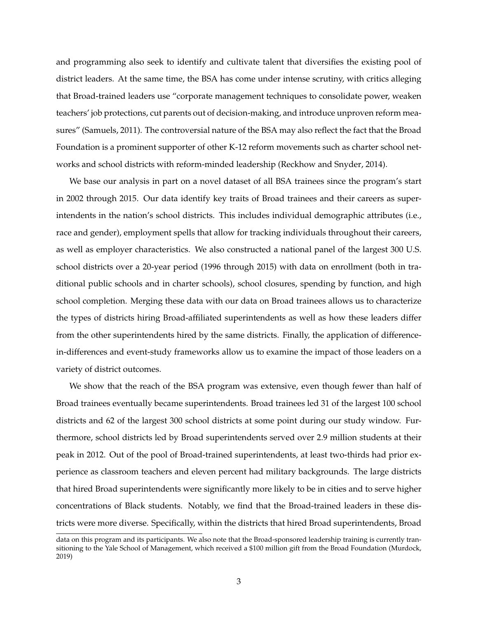and programming also seek to identify and cultivate talent that diversifies the existing pool of district leaders. At the same time, the BSA has come under intense scrutiny, with critics alleging that Broad-trained leaders use "corporate management techniques to consolidate power, weaken teachers' job protections, cut parents out of decision-making, and introduce unproven reform measures" [\(Samuels,](#page-26-5) [2011\)](#page-26-5). The controversial nature of the BSA may also reflect the fact that the Broad Foundation is a prominent supporter of other K-12 reform movements such as charter school networks and school districts with reform-minded leadership [\(Reckhow and Snyder,](#page-26-2) [2014\)](#page-26-2).

We base our analysis in part on a novel dataset of all BSA trainees since the program's start in 2002 through 2015. Our data identify key traits of Broad trainees and their careers as superintendents in the nation's school districts. This includes individual demographic attributes (i.e., race and gender), employment spells that allow for tracking individuals throughout their careers, as well as employer characteristics. We also constructed a national panel of the largest 300 U.S. school districts over a 20-year period (1996 through 2015) with data on enrollment (both in traditional public schools and in charter schools), school closures, spending by function, and high school completion. Merging these data with our data on Broad trainees allows us to characterize the types of districts hiring Broad-affiliated superintendents as well as how these leaders differ from the other superintendents hired by the same districts. Finally, the application of differencein-differences and event-study frameworks allow us to examine the impact of those leaders on a variety of district outcomes.

We show that the reach of the BSA program was extensive, even though fewer than half of Broad trainees eventually became superintendents. Broad trainees led 31 of the largest 100 school districts and 62 of the largest 300 school districts at some point during our study window. Furthermore, school districts led by Broad superintendents served over 2.9 million students at their peak in 2012. Out of the pool of Broad-trained superintendents, at least two-thirds had prior experience as classroom teachers and eleven percent had military backgrounds. The large districts that hired Broad superintendents were significantly more likely to be in cities and to serve higher concentrations of Black students. Notably, we find that the Broad-trained leaders in these districts were more diverse. Specifically, within the districts that hired Broad superintendents, Broad

data on this program and its participants. We also note that the Broad-sponsored leadership training is currently transitioning to the Yale School of Management, which received a \$100 million gift from the Broad Foundation [\(Murdock,](#page-25-1) [2019\)](#page-25-1)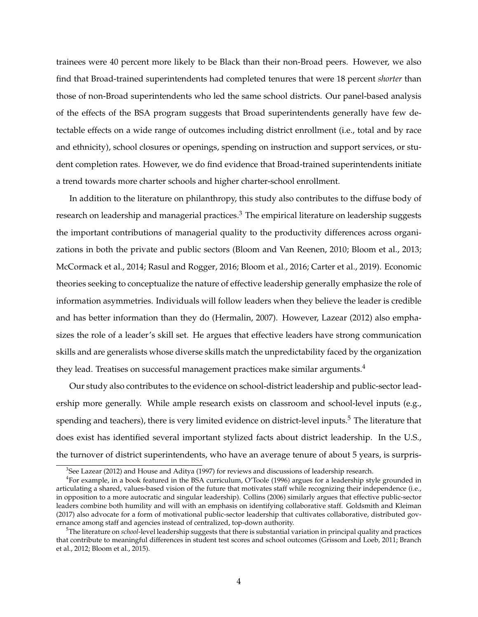trainees were 40 percent more likely to be Black than their non-Broad peers. However, we also find that Broad-trained superintendents had completed tenures that were 18 percent *shorter* than those of non-Broad superintendents who led the same school districts. Our panel-based analysis of the effects of the BSA program suggests that Broad superintendents generally have few detectable effects on a wide range of outcomes including district enrollment (i.e., total and by race and ethnicity), school closures or openings, spending on instruction and support services, or student completion rates. However, we do find evidence that Broad-trained superintendents initiate a trend towards more charter schools and higher charter-school enrollment.

In addition to the literature on philanthropy, this study also contributes to the diffuse body of research on leadership and managerial practices.<sup>[3](#page-4-0)</sup> The empirical literature on leadership suggests the important contributions of managerial quality to the productivity differences across organizations in both the private and public sectors [\(Bloom and Van Reenen,](#page-24-3) [2010;](#page-24-3) [Bloom et al.,](#page-24-4) [2013;](#page-24-4) [McCormack et al.,](#page-25-2) [2014;](#page-25-2) [Rasul and Rogger,](#page-25-3) [2016;](#page-25-3) [Bloom et al.,](#page-24-5) [2016;](#page-24-5) [Carter et al.,](#page-24-6) [2019\)](#page-24-6). Economic theories seeking to conceptualize the nature of effective leadership generally emphasize the role of information asymmetries. Individuals will follow leaders when they believe the leader is credible and has better information than they do [\(Hermalin,](#page-25-4) [2007\)](#page-25-4). However, [Lazear](#page-25-5) [\(2012\)](#page-25-5) also emphasizes the role of a leader's skill set. He argues that effective leaders have strong communication skills and are generalists whose diverse skills match the unpredictability faced by the organization they lead. Treatises on successful management practices make similar arguments.<sup>[4](#page-4-1)</sup>

Our study also contributes to the evidence on school-district leadership and public-sector leadership more generally. While ample research exists on classroom and school-level inputs (e.g., spending and teachers), there is very limited evidence on district-level inputs.<sup>[5](#page-4-2)</sup> The literature that does exist has identified several important stylized facts about district leadership. In the U.S., the turnover of district superintendents, who have an average tenure of about 5 years, is surpris-

<span id="page-4-1"></span><span id="page-4-0"></span> $3$ See [Lazear](#page-25-5) [\(2012\)](#page-25-5) and [House and Aditya](#page-25-6) [\(1997\)](#page-25-6) for reviews and discussions of leadership research.

<sup>4</sup> For example, in a book featured in the BSA curriculum, [O'Toole](#page-25-7) [\(1996\)](#page-25-7) argues for a leadership style grounded in articulating a shared, values-based vision of the future that motivates staff while recognizing their independence (i.e., in opposition to a more autocratic and singular leadership). [Collins](#page-24-7) [\(2006\)](#page-24-7) similarly argues that effective public-sector leaders combine both humility and will with an emphasis on identifying collaborative staff. [Goldsmith and Kleiman](#page-25-8) [\(2017\)](#page-25-8) also advocate for a form of motivational public-sector leadership that cultivates collaborative, distributed governance among staff and agencies instead of centralized, top-down authority.

<span id="page-4-2"></span><sup>5</sup>The literature on *school*-level leadership suggests that there is substantial variation in principal quality and practices that contribute to meaningful differences in student test scores and school outcomes [\(Grissom and Loeb,](#page-25-9) [2011;](#page-25-9) [Branch](#page-24-8) [et al.,](#page-24-8) [2012;](#page-24-8) [Bloom et al.,](#page-24-9) [2015\)](#page-24-9).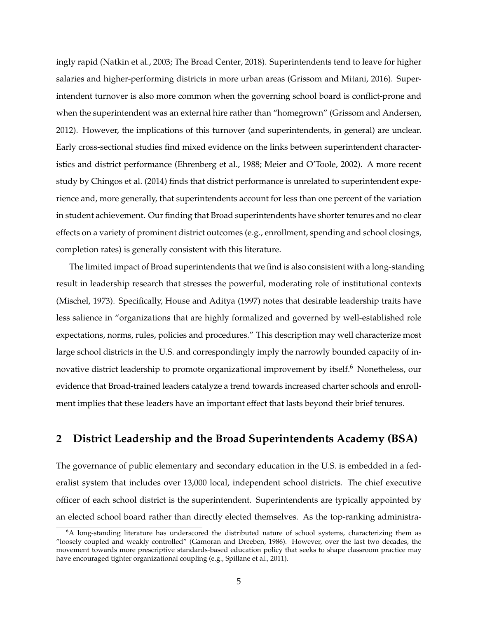ingly rapid [\(Natkin et al.,](#page-25-10) [2003;](#page-25-10) [The Broad Center,](#page-26-6) [2018\)](#page-26-6). Superintendents tend to leave for higher salaries and higher-performing districts in more urban areas [\(Grissom and Mitani,](#page-25-11) [2016\)](#page-25-11). Superintendent turnover is also more common when the governing school board is conflict-prone and when the superintendent was an external hire rather than "homegrown" [\(Grissom and Andersen,](#page-25-12) [2012\)](#page-25-12). However, the implications of this turnover (and superintendents, in general) are unclear. Early cross-sectional studies find mixed evidence on the links between superintendent characteristics and district performance [\(Ehrenberg et al.,](#page-24-10) [1988;](#page-24-10) [Meier and O'Toole,](#page-25-13) [2002\)](#page-25-13). A more recent study by [Chingos et al.](#page-24-11) [\(2014\)](#page-24-11) finds that district performance is unrelated to superintendent experience and, more generally, that superintendents account for less than one percent of the variation in student achievement. Our finding that Broad superintendents have shorter tenures and no clear effects on a variety of prominent district outcomes (e.g., enrollment, spending and school closings, completion rates) is generally consistent with this literature.

The limited impact of Broad superintendents that we find is also consistent with a long-standing result in leadership research that stresses the powerful, moderating role of institutional contexts [\(Mischel,](#page-25-14) [1973\)](#page-25-14). Specifically, [House and Aditya](#page-25-6) [\(1997\)](#page-25-6) notes that desirable leadership traits have less salience in "organizations that are highly formalized and governed by well-established role expectations, norms, rules, policies and procedures." This description may well characterize most large school districts in the U.S. and correspondingly imply the narrowly bounded capacity of in-novative district leadership to promote organizational improvement by itself.<sup>[6](#page-5-0)</sup> Nonetheless, our evidence that Broad-trained leaders catalyze a trend towards increased charter schools and enrollment implies that these leaders have an important effect that lasts beyond their brief tenures.

## **2 District Leadership and the Broad Superintendents Academy (BSA)**

The governance of public elementary and secondary education in the U.S. is embedded in a federalist system that includes over 13,000 local, independent school districts. The chief executive officer of each school district is the superintendent. Superintendents are typically appointed by an elected school board rather than directly elected themselves. As the top-ranking administra-

<span id="page-5-0"></span><sup>&</sup>lt;sup>6</sup>A long-standing literature has underscored the distributed nature of school systems, characterizing them as "loosely coupled and weakly controlled" [\(Gamoran and Dreeben,](#page-24-12) [1986\)](#page-24-12). However, over the last two decades, the movement towards more prescriptive standards-based education policy that seeks to shape classroom practice may have encouraged tighter organizational coupling (e.g., [Spillane et al.,](#page-26-7) [2011\)](#page-26-7).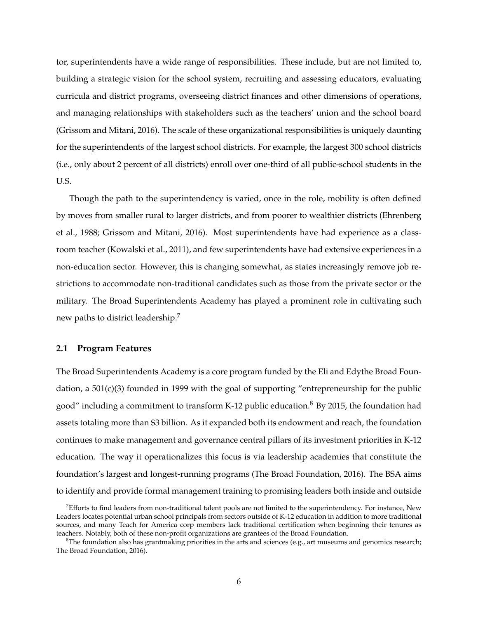tor, superintendents have a wide range of responsibilities. These include, but are not limited to, building a strategic vision for the school system, recruiting and assessing educators, evaluating curricula and district programs, overseeing district finances and other dimensions of operations, and managing relationships with stakeholders such as the teachers' union and the school board [\(Grissom and Mitani,](#page-25-11) [2016\)](#page-25-11). The scale of these organizational responsibilities is uniquely daunting for the superintendents of the largest school districts. For example, the largest 300 school districts (i.e., only about 2 percent of all districts) enroll over one-third of all public-school students in the U.S.

Though the path to the superintendency is varied, once in the role, mobility is often defined by moves from smaller rural to larger districts, and from poorer to wealthier districts [\(Ehrenberg](#page-24-10) [et al.,](#page-24-10) [1988;](#page-24-10) [Grissom and Mitani,](#page-25-11) [2016\)](#page-25-11). Most superintendents have had experience as a classroom teacher [\(Kowalski et al.,](#page-25-15) [2011\)](#page-25-15), and few superintendents have had extensive experiences in a non-education sector. However, this is changing somewhat, as states increasingly remove job restrictions to accommodate non-traditional candidates such as those from the private sector or the military. The Broad Superintendents Academy has played a prominent role in cultivating such new paths to district leadership.[7](#page-6-0)

#### **2.1 Program Features**

The Broad Superintendents Academy is a core program funded by the Eli and Edythe Broad Foundation, a 501(c)(3) founded in 1999 with the goal of supporting "entrepreneurship for the public good" including a commitment to transform K-12 public education.<sup>[8](#page-6-1)</sup> By 2015, the foundation had assets totaling more than \$3 billion. As it expanded both its endowment and reach, the foundation continues to make management and governance central pillars of its investment priorities in K-12 education. The way it operationalizes this focus is via leadership academies that constitute the foundation's largest and longest-running programs [\(The Broad Foundation,](#page-26-8) [2016\)](#page-26-8). The BSA aims to identify and provide formal management training to promising leaders both inside and outside

<span id="page-6-0"></span> $^7$ Efforts to find leaders from non-traditional talent pools are not limited to the superintendency. For instance, New Leaders locates potential urban school principals from sectors outside of K-12 education in addition to more traditional sources, and many Teach for America corp members lack traditional certification when beginning their tenures as teachers. Notably, both of these non-profit organizations are grantees of the Broad Foundation.

<span id="page-6-1"></span><sup>&</sup>lt;sup>8</sup>The foundation also has grantmaking priorities in the arts and sciences (e.g., art museums and genomics research; [The Broad Foundation,](#page-26-8) [2016\)](#page-26-8).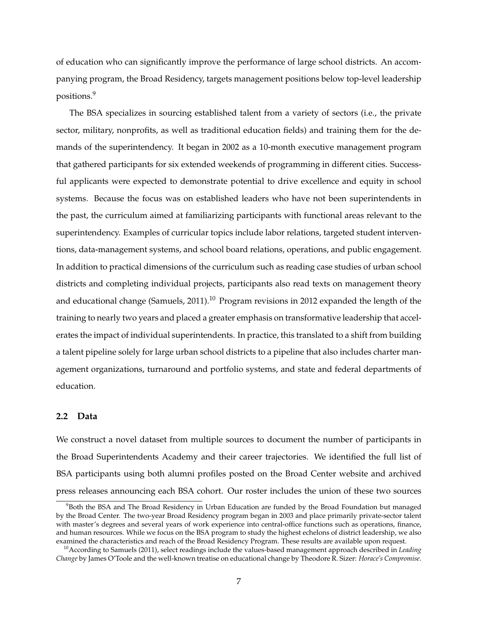of education who can significantly improve the performance of large school districts. An accompanying program, the Broad Residency, targets management positions below top-level leadership positions.[9](#page-7-0)

The BSA specializes in sourcing established talent from a variety of sectors (i.e., the private sector, military, nonprofits, as well as traditional education fields) and training them for the demands of the superintendency. It began in 2002 as a 10-month executive management program that gathered participants for six extended weekends of programming in different cities. Successful applicants were expected to demonstrate potential to drive excellence and equity in school systems. Because the focus was on established leaders who have not been superintendents in the past, the curriculum aimed at familiarizing participants with functional areas relevant to the superintendency. Examples of curricular topics include labor relations, targeted student interventions, data-management systems, and school board relations, operations, and public engagement. In addition to practical dimensions of the curriculum such as reading case studies of urban school districts and completing individual projects, participants also read texts on management theory and educational change [\(Samuels,](#page-26-5) [2011\)](#page-26-5).<sup>[10](#page-7-1)</sup> Program revisions in 2012 expanded the length of the training to nearly two years and placed a greater emphasis on transformative leadership that accelerates the impact of individual superintendents. In practice, this translated to a shift from building a talent pipeline solely for large urban school districts to a pipeline that also includes charter management organizations, turnaround and portfolio systems, and state and federal departments of education.

#### **2.2 Data**

We construct a novel dataset from multiple sources to document the number of participants in the Broad Superintendents Academy and their career trajectories. We identified the full list of BSA participants using both alumni profiles posted on the Broad Center website and archived press releases announcing each BSA cohort. Our roster includes the union of these two sources

<span id="page-7-0"></span> $98$ Both the BSA and The Broad Residency in Urban Education are funded by the Broad Foundation but managed by the Broad Center. The two-year Broad Residency program began in 2003 and place primarily private-sector talent with master's degrees and several years of work experience into central-office functions such as operations, finance, and human resources. While we focus on the BSA program to study the highest echelons of district leadership, we also examined the characteristics and reach of the Broad Residency Program. These results are available upon request.

<span id="page-7-1"></span><sup>10</sup>According to [Samuels](#page-26-5) [\(2011\)](#page-26-5), select readings include the values-based management approach described in *Leading Change* by James O'Toole and the well-known treatise on educational change by Theodore R. Sizer: *Horace's Compromise*.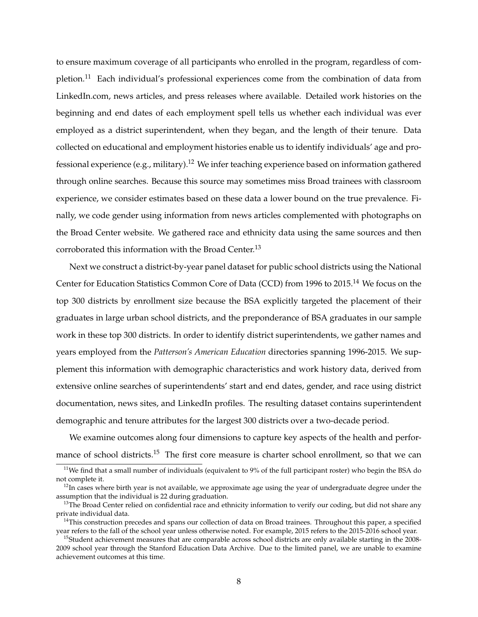to ensure maximum coverage of all participants who enrolled in the program, regardless of com-pletion.<sup>[11](#page-8-0)</sup> Each individual's professional experiences come from the combination of data from LinkedIn.com, news articles, and press releases where available. Detailed work histories on the beginning and end dates of each employment spell tells us whether each individual was ever employed as a district superintendent, when they began, and the length of their tenure. Data collected on educational and employment histories enable us to identify individuals' age and pro-fessional experience (e.g., military).<sup>[12](#page-8-1)</sup> We infer teaching experience based on information gathered through online searches. Because this source may sometimes miss Broad trainees with classroom experience, we consider estimates based on these data a lower bound on the true prevalence. Finally, we code gender using information from news articles complemented with photographs on the Broad Center website. We gathered race and ethnicity data using the same sources and then corroborated this information with the Broad Center.<sup>[13](#page-8-2)</sup>

Next we construct a district-by-year panel dataset for public school districts using the National Center for Education Statistics Common Core of Data (CCD) from 1996 to 2015.[14](#page-8-3) We focus on the top 300 districts by enrollment size because the BSA explicitly targeted the placement of their graduates in large urban school districts, and the preponderance of BSA graduates in our sample work in these top 300 districts. In order to identify district superintendents, we gather names and years employed from the *Patterson's American Education* directories spanning 1996-2015. We supplement this information with demographic characteristics and work history data, derived from extensive online searches of superintendents' start and end dates, gender, and race using district documentation, news sites, and LinkedIn profiles. The resulting dataset contains superintendent demographic and tenure attributes for the largest 300 districts over a two-decade period.

We examine outcomes along four dimensions to capture key aspects of the health and perfor-mance of school districts.<sup>[15](#page-8-4)</sup> The first core measure is charter school enrollment, so that we can

<span id="page-8-0"></span><sup>&</sup>lt;sup>11</sup>We find that a small number of individuals (equivalent to  $9%$  of the full participant roster) who begin the BSA do not complete it.

<span id="page-8-1"></span> $12$ In cases where birth year is not available, we approximate age using the year of undergraduate degree under the assumption that the individual is 22 during graduation.

<span id="page-8-2"></span> $13$ The Broad Center relied on confidential race and ethnicity information to verify our coding, but did not share any private individual data.

<span id="page-8-3"></span><sup>&</sup>lt;sup>14</sup>This construction precedes and spans our collection of data on Broad trainees. Throughout this paper, a specified year refers to the fall of the school year unless otherwise noted. For example, 2015 refers to the 2015-2016 school year.

<span id="page-8-4"></span> $15$ Student achievement measures that are comparable across school districts are only available starting in the  $2008$ -2009 school year through the Stanford Education Data Archive. Due to the limited panel, we are unable to examine achievement outcomes at this time.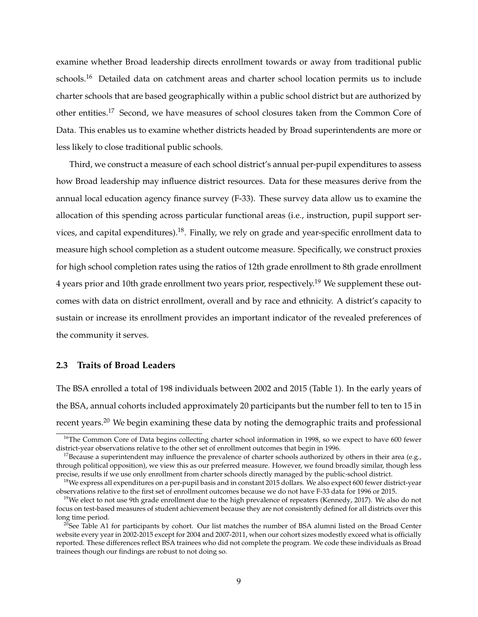examine whether Broad leadership directs enrollment towards or away from traditional public schools.<sup>[16](#page-9-0)</sup> Detailed data on catchment areas and charter school location permits us to include charter schools that are based geographically within a public school district but are authorized by other entities.<sup>[17](#page-9-1)</sup> Second, we have measures of school closures taken from the Common Core of Data. This enables us to examine whether districts headed by Broad superintendents are more or less likely to close traditional public schools.

Third, we construct a measure of each school district's annual per-pupil expenditures to assess how Broad leadership may influence district resources. Data for these measures derive from the annual local education agency finance survey (F-33). These survey data allow us to examine the allocation of this spending across particular functional areas (i.e., instruction, pupil support ser-vices, and capital expenditures).<sup>[18](#page-9-2)</sup>. Finally, we rely on grade and year-specific enrollment data to measure high school completion as a student outcome measure. Specifically, we construct proxies for high school completion rates using the ratios of 12th grade enrollment to 8th grade enrollment 4 years prior and 10th grade enrollment two years prior, respectively.<sup>[19](#page-9-3)</sup> We supplement these outcomes with data on district enrollment, overall and by race and ethnicity. A district's capacity to sustain or increase its enrollment provides an important indicator of the revealed preferences of the community it serves.

#### **2.3 Traits of Broad Leaders**

The BSA enrolled a total of 198 individuals between 2002 and 2015 (Table [1\)](#page-27-0). In the early years of the BSA, annual cohorts included approximately 20 participants but the number fell to ten to 15 in recent years.<sup>[20](#page-9-4)</sup> We begin examining these data by noting the demographic traits and professional

<span id="page-9-0"></span><sup>&</sup>lt;sup>16</sup>The Common Core of Data begins collecting charter school information in 1998, so we expect to have 600 fewer district-year observations relative to the other set of enrollment outcomes that begin in 1996.

<span id="page-9-1"></span><sup>&</sup>lt;sup>17</sup>Because a superintendent may influence the prevalence of charter schools authorized by others in their area (e.g., through political opposition), we view this as our preferred measure. However, we found broadly similar, though less precise, results if we use only enrollment from charter schools directly managed by the public-school district.

<span id="page-9-2"></span> $18$ We express all expenditures on a per-pupil basis and in constant 2015 dollars. We also expect 600 fewer district-year observations relative to the first set of enrollment outcomes because we do not have F-33 data for 1996 or 2015.

<span id="page-9-3"></span><sup>&</sup>lt;sup>19</sup>We elect to not use 9th grade enrollment due to the high prevalence of repeaters [\(Kennedy,](#page-25-16) [2017\)](#page-25-16). We also do not focus on test-based measures of student achievement because they are not consistently defined for all districts over this long time period.

<span id="page-9-4"></span> $^{20}$ See Table [A1](#page-42-0) for participants by cohort. Our list matches the number of BSA alumni listed on the Broad Center website every year in 2002-2015 except for 2004 and 2007-2011, when our cohort sizes modestly exceed what is officially reported. These differences reflect BSA trainees who did not complete the program. We code these individuals as Broad trainees though our findings are robust to not doing so.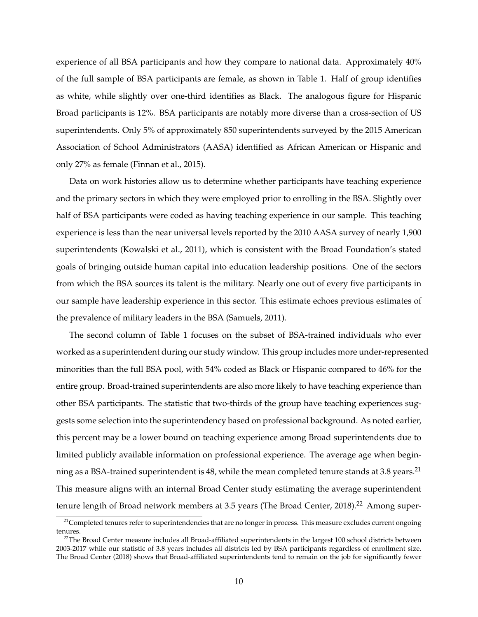experience of all BSA participants and how they compare to national data. Approximately 40% of the full sample of BSA participants are female, as shown in Table [1.](#page-27-0) Half of group identifies as white, while slightly over one-third identifies as Black. The analogous figure for Hispanic Broad participants is 12%. BSA participants are notably more diverse than a cross-section of US superintendents. Only 5% of approximately 850 superintendents surveyed by the 2015 American Association of School Administrators (AASA) identified as African American or Hispanic and only 27% as female [\(Finnan et al.,](#page-24-13) [2015\)](#page-24-13).

Data on work histories allow us to determine whether participants have teaching experience and the primary sectors in which they were employed prior to enrolling in the BSA. Slightly over half of BSA participants were coded as having teaching experience in our sample. This teaching experience is less than the near universal levels reported by the 2010 AASA survey of nearly 1,900 superintendents [\(Kowalski et al.,](#page-25-15) [2011\)](#page-25-15), which is consistent with the Broad Foundation's stated goals of bringing outside human capital into education leadership positions. One of the sectors from which the BSA sources its talent is the military. Nearly one out of every five participants in our sample have leadership experience in this sector. This estimate echoes previous estimates of the prevalence of military leaders in the BSA [\(Samuels,](#page-26-5) [2011\)](#page-26-5).

The second column of Table [1](#page-27-0) focuses on the subset of BSA-trained individuals who ever worked as a superintendent during our study window. This group includes more under-represented minorities than the full BSA pool, with 54% coded as Black or Hispanic compared to 46% for the entire group. Broad-trained superintendents are also more likely to have teaching experience than other BSA participants. The statistic that two-thirds of the group have teaching experiences suggests some selection into the superintendency based on professional background. As noted earlier, this percent may be a lower bound on teaching experience among Broad superintendents due to limited publicly available information on professional experience. The average age when begin-ning as a BSA-trained superintendent is 48, while the mean completed tenure stands at 3.8 years.<sup>[21](#page-10-0)</sup> This measure aligns with an internal Broad Center study estimating the average superintendent tenure length of Broad network members at 3.5 years [\(The Broad Center,](#page-26-6) [2018\)](#page-26-6).<sup>[22](#page-10-1)</sup> Among super-

<span id="page-10-0"></span><sup>&</sup>lt;sup>21</sup>Completed tenures refer to superintendencies that are no longer in process. This measure excludes current ongoing tenures.

<span id="page-10-1"></span> $^{22}$ The Broad Center measure includes all Broad-affiliated superintendents in the largest 100 school districts between 2003-2017 while our statistic of 3.8 years includes all districts led by BSA participants regardless of enrollment size. [The Broad Center](#page-26-6) [\(2018\)](#page-26-6) shows that Broad-affiliated superintendents tend to remain on the job for significantly fewer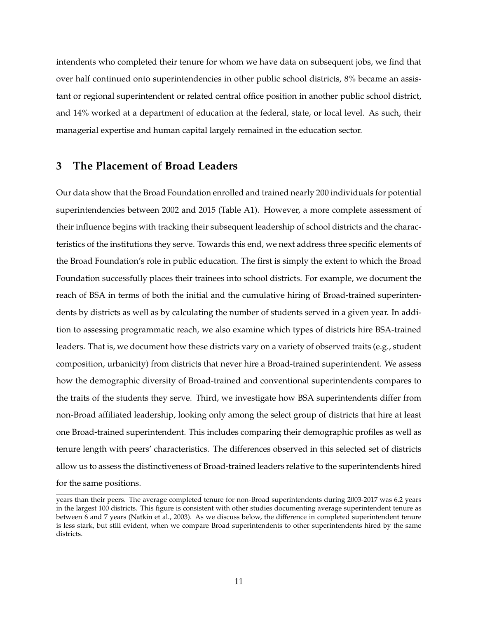intendents who completed their tenure for whom we have data on subsequent jobs, we find that over half continued onto superintendencies in other public school districts, 8% became an assistant or regional superintendent or related central office position in another public school district, and 14% worked at a department of education at the federal, state, or local level. As such, their managerial expertise and human capital largely remained in the education sector.

### **3 The Placement of Broad Leaders**

Our data show that the Broad Foundation enrolled and trained nearly 200 individuals for potential superintendencies between 2002 and 2015 (Table [A1\)](#page-42-0). However, a more complete assessment of their influence begins with tracking their subsequent leadership of school districts and the characteristics of the institutions they serve. Towards this end, we next address three specific elements of the Broad Foundation's role in public education. The first is simply the extent to which the Broad Foundation successfully places their trainees into school districts. For example, we document the reach of BSA in terms of both the initial and the cumulative hiring of Broad-trained superintendents by districts as well as by calculating the number of students served in a given year. In addition to assessing programmatic reach, we also examine which types of districts hire BSA-trained leaders. That is, we document how these districts vary on a variety of observed traits (e.g., student composition, urbanicity) from districts that never hire a Broad-trained superintendent. We assess how the demographic diversity of Broad-trained and conventional superintendents compares to the traits of the students they serve. Third, we investigate how BSA superintendents differ from non-Broad affiliated leadership, looking only among the select group of districts that hire at least one Broad-trained superintendent. This includes comparing their demographic profiles as well as tenure length with peers' characteristics. The differences observed in this selected set of districts allow us to assess the distinctiveness of Broad-trained leaders relative to the superintendents hired for the same positions.

years than their peers. The average completed tenure for non-Broad superintendents during 2003-2017 was 6.2 years in the largest 100 districts. This figure is consistent with other studies documenting average superintendent tenure as between 6 and 7 years [\(Natkin et al.,](#page-25-10) [2003\)](#page-25-10). As we discuss below, the difference in completed superintendent tenure is less stark, but still evident, when we compare Broad superintendents to other superintendents hired by the same districts.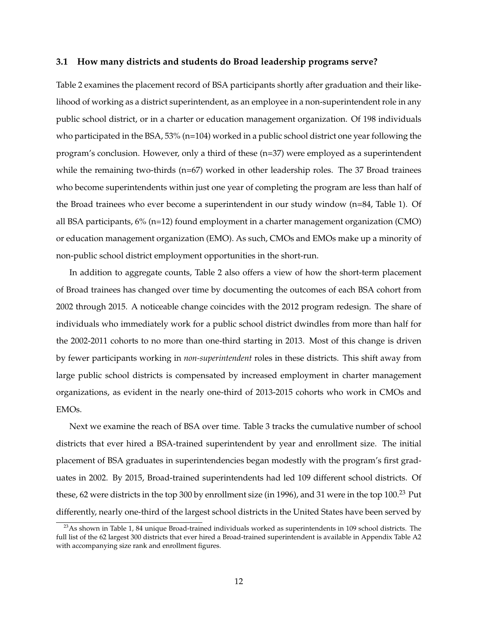#### **3.1 How many districts and students do Broad leadership programs serve?**

Table [2](#page-28-0) examines the placement record of BSA participants shortly after graduation and their likelihood of working as a district superintendent, as an employee in a non-superintendent role in any public school district, or in a charter or education management organization. Of 198 individuals who participated in the BSA, 53% (n=104) worked in a public school district one year following the program's conclusion. However, only a third of these (n=37) were employed as a superintendent while the remaining two-thirds (n=67) worked in other leadership roles. The 37 Broad trainees who become superintendents within just one year of completing the program are less than half of the Broad trainees who ever become a superintendent in our study window (n=84, Table [1\)](#page-27-0). Of all BSA participants, 6% (n=12) found employment in a charter management organization (CMO) or education management organization (EMO). As such, CMOs and EMOs make up a minority of non-public school district employment opportunities in the short-run.

In addition to aggregate counts, Table [2](#page-28-0) also offers a view of how the short-term placement of Broad trainees has changed over time by documenting the outcomes of each BSA cohort from 2002 through 2015. A noticeable change coincides with the 2012 program redesign. The share of individuals who immediately work for a public school district dwindles from more than half for the 2002-2011 cohorts to no more than one-third starting in 2013. Most of this change is driven by fewer participants working in *non-superintendent* roles in these districts. This shift away from large public school districts is compensated by increased employment in charter management organizations, as evident in the nearly one-third of 2013-2015 cohorts who work in CMOs and EMOs.

Next we examine the reach of BSA over time. Table [3](#page-29-0) tracks the cumulative number of school districts that ever hired a BSA-trained superintendent by year and enrollment size. The initial placement of BSA graduates in superintendencies began modestly with the program's first graduates in 2002. By 2015, Broad-trained superintendents had led 109 different school districts. Of these, 62 were districts in the top 300 by enrollment size (in 1996), and 31 were in the top 100.<sup>[23](#page-12-0)</sup> Put differently, nearly one-third of the largest school districts in the United States have been served by

<span id="page-12-0"></span> $^{23}$ As shown in Table [1,](#page-27-0) 84 unique Broad-trained individuals worked as superintendents in 109 school districts. The full list of the 62 largest 300 districts that ever hired a Broad-trained superintendent is available in Appendix Table [A2](#page-43-0) with accompanying size rank and enrollment figures.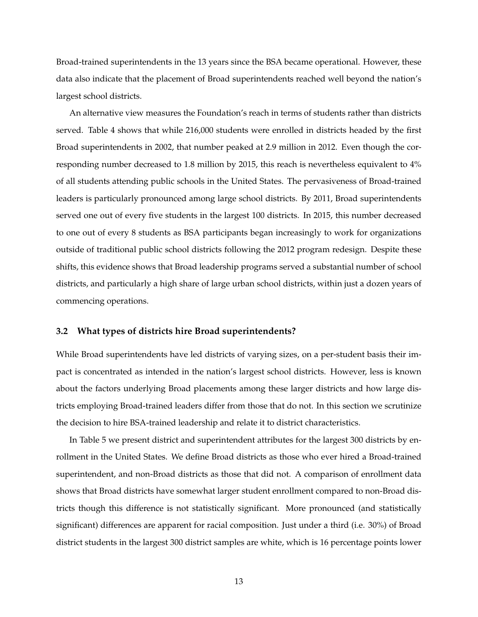Broad-trained superintendents in the 13 years since the BSA became operational. However, these data also indicate that the placement of Broad superintendents reached well beyond the nation's largest school districts.

An alternative view measures the Foundation's reach in terms of students rather than districts served. Table [4](#page-30-0) shows that while 216,000 students were enrolled in districts headed by the first Broad superintendents in 2002, that number peaked at 2.9 million in 2012. Even though the corresponding number decreased to 1.8 million by 2015, this reach is nevertheless equivalent to 4% of all students attending public schools in the United States. The pervasiveness of Broad-trained leaders is particularly pronounced among large school districts. By 2011, Broad superintendents served one out of every five students in the largest 100 districts. In 2015, this number decreased to one out of every 8 students as BSA participants began increasingly to work for organizations outside of traditional public school districts following the 2012 program redesign. Despite these shifts, this evidence shows that Broad leadership programs served a substantial number of school districts, and particularly a high share of large urban school districts, within just a dozen years of commencing operations.

#### **3.2 What types of districts hire Broad superintendents?**

While Broad superintendents have led districts of varying sizes, on a per-student basis their impact is concentrated as intended in the nation's largest school districts. However, less is known about the factors underlying Broad placements among these larger districts and how large districts employing Broad-trained leaders differ from those that do not. In this section we scrutinize the decision to hire BSA-trained leadership and relate it to district characteristics.

In Table [5](#page-31-0) we present district and superintendent attributes for the largest 300 districts by enrollment in the United States. We define Broad districts as those who ever hired a Broad-trained superintendent, and non-Broad districts as those that did not. A comparison of enrollment data shows that Broad districts have somewhat larger student enrollment compared to non-Broad districts though this difference is not statistically significant. More pronounced (and statistically significant) differences are apparent for racial composition. Just under a third (i.e. 30%) of Broad district students in the largest 300 district samples are white, which is 16 percentage points lower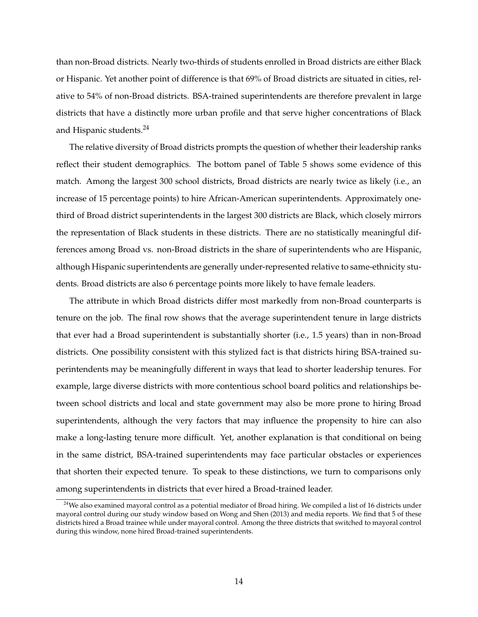than non-Broad districts. Nearly two-thirds of students enrolled in Broad districts are either Black or Hispanic. Yet another point of difference is that 69% of Broad districts are situated in cities, relative to 54% of non-Broad districts. BSA-trained superintendents are therefore prevalent in large districts that have a distinctly more urban profile and that serve higher concentrations of Black and Hispanic students.<sup>[24](#page-14-0)</sup>

The relative diversity of Broad districts prompts the question of whether their leadership ranks reflect their student demographics. The bottom panel of Table [5](#page-31-0) shows some evidence of this match. Among the largest 300 school districts, Broad districts are nearly twice as likely (i.e., an increase of 15 percentage points) to hire African-American superintendents. Approximately onethird of Broad district superintendents in the largest 300 districts are Black, which closely mirrors the representation of Black students in these districts. There are no statistically meaningful differences among Broad vs. non-Broad districts in the share of superintendents who are Hispanic, although Hispanic superintendents are generally under-represented relative to same-ethnicity students. Broad districts are also 6 percentage points more likely to have female leaders.

The attribute in which Broad districts differ most markedly from non-Broad counterparts is tenure on the job. The final row shows that the average superintendent tenure in large districts that ever had a Broad superintendent is substantially shorter (i.e., 1.5 years) than in non-Broad districts. One possibility consistent with this stylized fact is that districts hiring BSA-trained superintendents may be meaningfully different in ways that lead to shorter leadership tenures. For example, large diverse districts with more contentious school board politics and relationships between school districts and local and state government may also be more prone to hiring Broad superintendents, although the very factors that may influence the propensity to hire can also make a long-lasting tenure more difficult. Yet, another explanation is that conditional on being in the same district, BSA-trained superintendents may face particular obstacles or experiences that shorten their expected tenure. To speak to these distinctions, we turn to comparisons only among superintendents in districts that ever hired a Broad-trained leader.

<span id="page-14-0"></span><sup>&</sup>lt;sup>24</sup>We also examined mayoral control as a potential mediator of Broad hiring. We compiled a list of 16 districts under mayoral control during our study window based on [Wong and Shen](#page-26-9) [\(2013\)](#page-26-9) and media reports. We find that 5 of these districts hired a Broad trainee while under mayoral control. Among the three districts that switched to mayoral control during this window, none hired Broad-trained superintendents.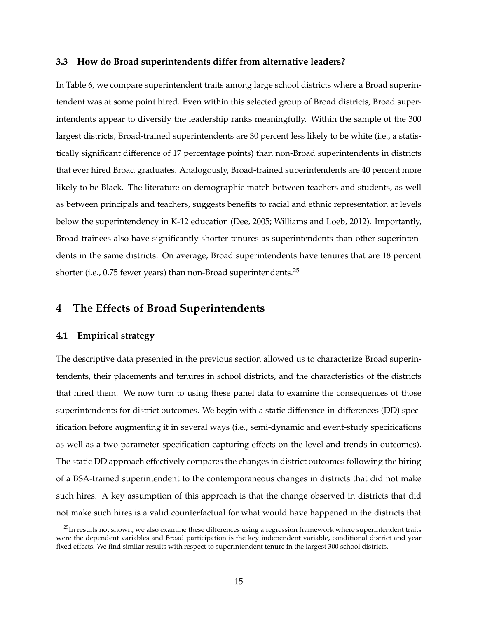#### **3.3 How do Broad superintendents differ from alternative leaders?**

In Table [6,](#page-32-0) we compare superintendent traits among large school districts where a Broad superintendent was at some point hired. Even within this selected group of Broad districts, Broad superintendents appear to diversify the leadership ranks meaningfully. Within the sample of the 300 largest districts, Broad-trained superintendents are 30 percent less likely to be white (i.e., a statistically significant difference of 17 percentage points) than non-Broad superintendents in districts that ever hired Broad graduates. Analogously, Broad-trained superintendents are 40 percent more likely to be Black. The literature on demographic match between teachers and students, as well as between principals and teachers, suggests benefits to racial and ethnic representation at levels below the superintendency in K-12 education [\(Dee,](#page-24-14) [2005;](#page-24-14) [Williams and Loeb,](#page-26-10) [2012\)](#page-26-10). Importantly, Broad trainees also have significantly shorter tenures as superintendents than other superintendents in the same districts. On average, Broad superintendents have tenures that are 18 percent shorter (i.e.,  $0.75$  fewer years) than non-Broad superintendents.<sup>[25](#page-15-0)</sup>

## **4 The Effects of Broad Superintendents**

#### **4.1 Empirical strategy**

The descriptive data presented in the previous section allowed us to characterize Broad superintendents, their placements and tenures in school districts, and the characteristics of the districts that hired them. We now turn to using these panel data to examine the consequences of those superintendents for district outcomes. We begin with a static difference-in-differences (DD) specification before augmenting it in several ways (i.e., semi-dynamic and event-study specifications as well as a two-parameter specification capturing effects on the level and trends in outcomes). The static DD approach effectively compares the changes in district outcomes following the hiring of a BSA-trained superintendent to the contemporaneous changes in districts that did not make such hires. A key assumption of this approach is that the change observed in districts that did not make such hires is a valid counterfactual for what would have happened in the districts that

<span id="page-15-0"></span> $25$ In results not shown, we also examine these differences using a regression framework where superintendent traits were the dependent variables and Broad participation is the key independent variable, conditional district and year fixed effects. We find similar results with respect to superintendent tenure in the largest 300 school districts.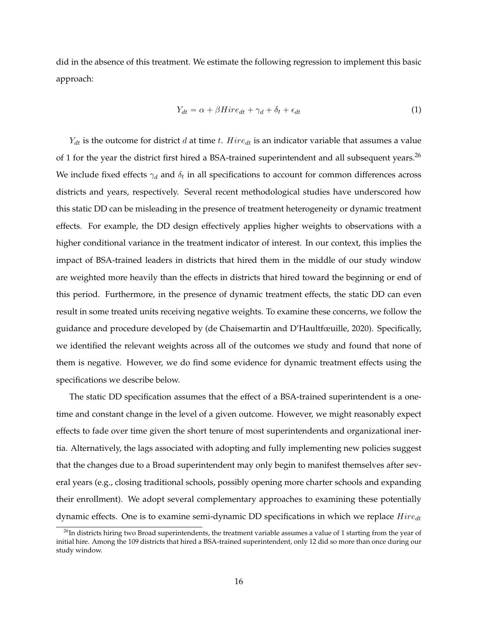did in the absence of this treatment. We estimate the following regression to implement this basic approach:

$$
Y_{dt} = \alpha + \beta H i r e_{dt} + \gamma_d + \delta_t + \epsilon_{dt} \tag{1}
$$

 $Y_{dt}$  is the outcome for district d at time t.  $Hire_{dt}$  is an indicator variable that assumes a value of 1 for the year the district first hired a BSA-trained superintendent and all subsequent years.<sup>[26](#page-16-0)</sup> We include fixed effects  $\gamma_d$  and  $\delta_t$  in all specifications to account for common differences across districts and years, respectively. Several recent methodological studies have underscored how this static DD can be misleading in the presence of treatment heterogeneity or dynamic treatment effects. For example, the DD design effectively applies higher weights to observations with a higher conditional variance in the treatment indicator of interest. In our context, this implies the impact of BSA-trained leaders in districts that hired them in the middle of our study window are weighted more heavily than the effects in districts that hired toward the beginning or end of this period. Furthermore, in the presence of dynamic treatment effects, the static DD can even result in some treated units receiving negative weights. To examine these concerns, we follow the guidance and procedure developed by [\(de Chaisemartin and D'Haultfœuille,](#page-24-15) [2020\)](#page-24-15). Specifically, we identified the relevant weights across all of the outcomes we study and found that none of them is negative. However, we do find some evidence for dynamic treatment effects using the specifications we describe below.

The static DD specification assumes that the effect of a BSA-trained superintendent is a onetime and constant change in the level of a given outcome. However, we might reasonably expect effects to fade over time given the short tenure of most superintendents and organizational inertia. Alternatively, the lags associated with adopting and fully implementing new policies suggest that the changes due to a Broad superintendent may only begin to manifest themselves after several years (e.g., closing traditional schools, possibly opening more charter schools and expanding their enrollment). We adopt several complementary approaches to examining these potentially dynamic effects. One is to examine semi-dynamic DD specifications in which we replace  $Hire_{dt}$ 

<span id="page-16-0"></span> $26$ In districts hiring two Broad superintendents, the treatment variable assumes a value of 1 starting from the year of initial hire. Among the 109 districts that hired a BSA-trained superintendent, only 12 did so more than once during our study window.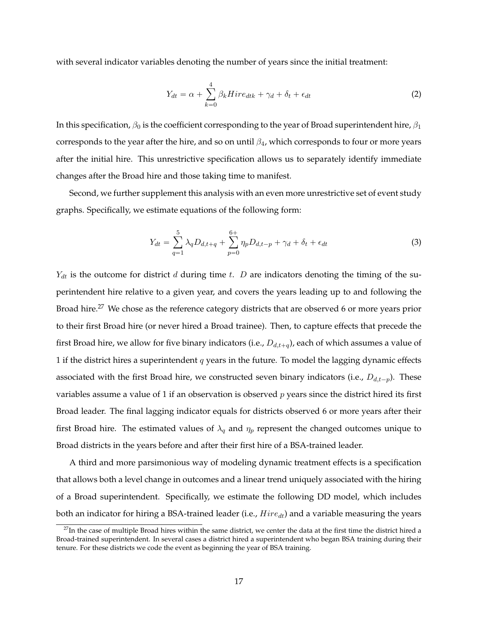with several indicator variables denoting the number of years since the initial treatment:

$$
Y_{dt} = \alpha + \sum_{k=0}^{4} \beta_k H i r e_{dtk} + \gamma_d + \delta_t + \epsilon_{dt}
$$
 (2)

In this specification,  $\beta_0$  is the coefficient corresponding to the year of Broad superintendent hire,  $\beta_1$ corresponds to the year after the hire, and so on until  $\beta_4$ , which corresponds to four or more years after the initial hire. This unrestrictive specification allows us to separately identify immediate changes after the Broad hire and those taking time to manifest.

Second, we further supplement this analysis with an even more unrestrictive set of event study graphs. Specifically, we estimate equations of the following form:

$$
Y_{dt} = \sum_{q=1}^{5} \lambda_q D_{d,t+q} + \sum_{p=0}^{6+} \eta_p D_{d,t-p} + \gamma_d + \delta_t + \epsilon_{dt}
$$
 (3)

 $Y_{dt}$  is the outcome for district  $d$  during time  $t$ .  $D$  are indicators denoting the timing of the superintendent hire relative to a given year, and covers the years leading up to and following the Broad hire.<sup>[27](#page-17-0)</sup> We chose as the reference category districts that are observed 6 or more years prior to their first Broad hire (or never hired a Broad trainee). Then, to capture effects that precede the first Broad hire, we allow for five binary indicators (i.e.,  $D_{d,t+q}$ ), each of which assumes a value of 1 if the district hires a superintendent  $q$  years in the future. To model the lagging dynamic effects associated with the first Broad hire, we constructed seven binary indicators (i.e.,  $D_{d,t-p}$ ). These variables assume a value of 1 if an observation is observed  $p$  years since the district hired its first Broad leader. The final lagging indicator equals for districts observed 6 or more years after their first Broad hire. The estimated values of  $\lambda_q$  and  $\eta_p$  represent the changed outcomes unique to Broad districts in the years before and after their first hire of a BSA-trained leader.

A third and more parsimonious way of modeling dynamic treatment effects is a specification that allows both a level change in outcomes and a linear trend uniquely associated with the hiring of a Broad superintendent. Specifically, we estimate the following DD model, which includes both an indicator for hiring a BSA-trained leader (i.e.,  $Hire_{dt}$ ) and a variable measuring the years

<span id="page-17-0"></span> $27$ In the case of multiple Broad hires within the same district, we center the data at the first time the district hired a Broad-trained superintendent. In several cases a district hired a superintendent who began BSA training during their tenure. For these districts we code the event as beginning the year of BSA training.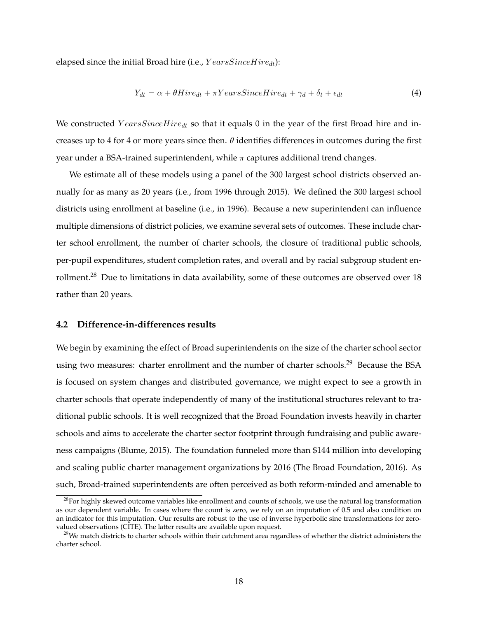elapsed since the initial Broad hire (i.e.,  $YearsSinceHire_{dt}$ ):

$$
Y_{dt} = \alpha + \theta Hire_{dt} + \pi YearsSince Hire_{dt} + \gamma_d + \delta_t + \epsilon_{dt}
$$
\n
$$
\tag{4}
$$

We constructed  $YearsSinceHire_{dt}$  so that it equals 0 in the year of the first Broad hire and increases up to 4 for 4 or more years since then.  $\theta$  identifies differences in outcomes during the first year under a BSA-trained superintendent, while  $\pi$  captures additional trend changes.

We estimate all of these models using a panel of the 300 largest school districts observed annually for as many as 20 years (i.e., from 1996 through 2015). We defined the 300 largest school districts using enrollment at baseline (i.e., in 1996). Because a new superintendent can influence multiple dimensions of district policies, we examine several sets of outcomes. These include charter school enrollment, the number of charter schools, the closure of traditional public schools, per-pupil expenditures, student completion rates, and overall and by racial subgroup student enrollment.[28](#page-18-0) Due to limitations in data availability, some of these outcomes are observed over 18 rather than 20 years.

#### **4.2 Difference-in-differences results**

We begin by examining the effect of Broad superintendents on the size of the charter school sector using two measures: charter enrollment and the number of charter schools.<sup>[29](#page-18-1)</sup> Because the BSA is focused on system changes and distributed governance, we might expect to see a growth in charter schools that operate independently of many of the institutional structures relevant to traditional public schools. It is well recognized that the Broad Foundation invests heavily in charter schools and aims to accelerate the charter sector footprint through fundraising and public awareness campaigns [\(Blume,](#page-24-16) [2015\)](#page-24-16). The foundation funneled more than \$144 million into developing and scaling public charter management organizations by 2016 [\(The Broad Foundation,](#page-26-8) [2016\)](#page-26-8). As such, Broad-trained superintendents are often perceived as both reform-minded and amenable to

<span id="page-18-0"></span><sup>&</sup>lt;sup>28</sup>For highly skewed outcome variables like enrollment and counts of schools, we use the natural log transformation as our dependent variable. In cases where the count is zero, we rely on an imputation of 0.5 and also condition on an indicator for this imputation. Our results are robust to the use of inverse hyperbolic sine transformations for zerovalued observations (CITE). The latter results are available upon request.

<span id="page-18-1"></span> $^{29}$ We match districts to charter schools within their catchment area regardless of whether the district administers the charter school.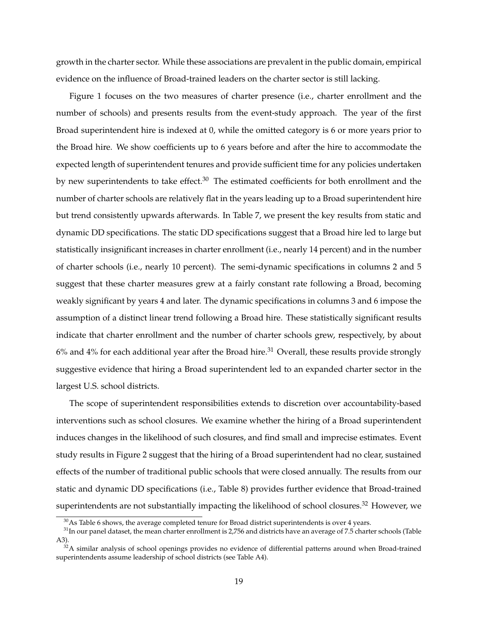growth in the charter sector. While these associations are prevalent in the public domain, empirical evidence on the influence of Broad-trained leaders on the charter sector is still lacking.

Figure [1](#page-37-0) focuses on the two measures of charter presence (i.e., charter enrollment and the number of schools) and presents results from the event-study approach. The year of the first Broad superintendent hire is indexed at 0, while the omitted category is 6 or more years prior to the Broad hire. We show coefficients up to 6 years before and after the hire to accommodate the expected length of superintendent tenures and provide sufficient time for any policies undertaken by new superintendents to take effect. $30$  The estimated coefficients for both enrollment and the number of charter schools are relatively flat in the years leading up to a Broad superintendent hire but trend consistently upwards afterwards. In Table [7,](#page-33-0) we present the key results from static and dynamic DD specifications. The static DD specifications suggest that a Broad hire led to large but statistically insignificant increases in charter enrollment (i.e., nearly 14 percent) and in the number of charter schools (i.e., nearly 10 percent). The semi-dynamic specifications in columns 2 and 5 suggest that these charter measures grew at a fairly constant rate following a Broad, becoming weakly significant by years 4 and later. The dynamic specifications in columns 3 and 6 impose the assumption of a distinct linear trend following a Broad hire. These statistically significant results indicate that charter enrollment and the number of charter schools grew, respectively, by about  $6\%$  and  $4\%$  for each additional year after the Broad hire.<sup>[31](#page-19-1)</sup> Overall, these results provide strongly suggestive evidence that hiring a Broad superintendent led to an expanded charter sector in the largest U.S. school districts.

The scope of superintendent responsibilities extends to discretion over accountability-based interventions such as school closures. We examine whether the hiring of a Broad superintendent induces changes in the likelihood of such closures, and find small and imprecise estimates. Event study results in Figure [2](#page-38-0) suggest that the hiring of a Broad superintendent had no clear, sustained effects of the number of traditional public schools that were closed annually. The results from our static and dynamic DD specifications (i.e., Table [8\)](#page-34-0) provides further evidence that Broad-trained superintendents are not substantially impacting the likelihood of school closures.<sup>[32](#page-19-2)</sup> However, we

<span id="page-19-1"></span><span id="page-19-0"></span> $30$ As Table [6](#page-32-0) shows, the average completed tenure for Broad district superintendents is over 4 years.

<sup>&</sup>lt;sup>31</sup>In our panel dataset, the mean charter enrollment is 2,756 and districts have an average of 7.5 charter schools (Table [A3\)](#page-45-0).

<span id="page-19-2"></span> $32A$  similar analysis of school openings provides no evidence of differential patterns around when Broad-trained superintendents assume leadership of school districts (see Table [A4\)](#page-46-0).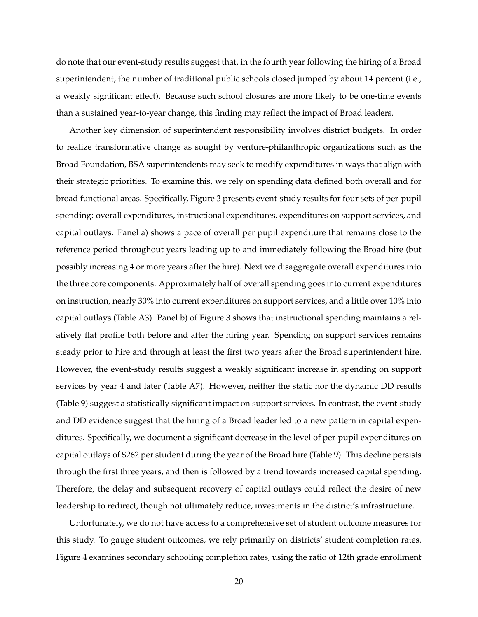do note that our event-study results suggest that, in the fourth year following the hiring of a Broad superintendent, the number of traditional public schools closed jumped by about 14 percent (i.e., a weakly significant effect). Because such school closures are more likely to be one-time events than a sustained year-to-year change, this finding may reflect the impact of Broad leaders.

Another key dimension of superintendent responsibility involves district budgets. In order to realize transformative change as sought by venture-philanthropic organizations such as the Broad Foundation, BSA superintendents may seek to modify expenditures in ways that align with their strategic priorities. To examine this, we rely on spending data defined both overall and for broad functional areas. Specifically, Figure [3](#page-39-0) presents event-study results for four sets of per-pupil spending: overall expenditures, instructional expenditures, expenditures on support services, and capital outlays. Panel a) shows a pace of overall per pupil expenditure that remains close to the reference period throughout years leading up to and immediately following the Broad hire (but possibly increasing 4 or more years after the hire). Next we disaggregate overall expenditures into the three core components. Approximately half of overall spending goes into current expenditures on instruction, nearly 30% into current expenditures on support services, and a little over 10% into capital outlays (Table [A3\)](#page-45-0). Panel b) of Figure [3](#page-39-0) shows that instructional spending maintains a relatively flat profile both before and after the hiring year. Spending on support services remains steady prior to hire and through at least the first two years after the Broad superintendent hire. However, the event-study results suggest a weakly significant increase in spending on support services by year 4 and later (Table [A7\)](#page-49-0). However, neither the static nor the dynamic DD results (Table [9\)](#page-35-0) suggest a statistically significant impact on support services. In contrast, the event-study and DD evidence suggest that the hiring of a Broad leader led to a new pattern in capital expenditures. Specifically, we document a significant decrease in the level of per-pupil expenditures on capital outlays of \$262 per student during the year of the Broad hire (Table [9\)](#page-35-0). This decline persists through the first three years, and then is followed by a trend towards increased capital spending. Therefore, the delay and subsequent recovery of capital outlays could reflect the desire of new leadership to redirect, though not ultimately reduce, investments in the district's infrastructure.

Unfortunately, we do not have access to a comprehensive set of student outcome measures for this study. To gauge student outcomes, we rely primarily on districts' student completion rates. Figure [4](#page-40-0) examines secondary schooling completion rates, using the ratio of 12th grade enrollment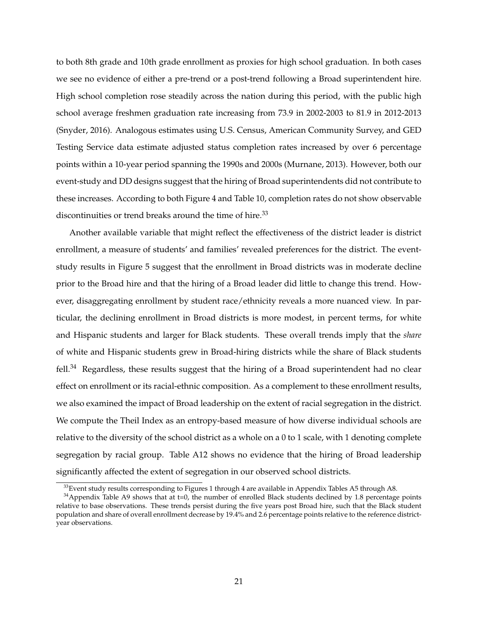to both 8th grade and 10th grade enrollment as proxies for high school graduation. In both cases we see no evidence of either a pre-trend or a post-trend following a Broad superintendent hire. High school completion rose steadily across the nation during this period, with the public high school average freshmen graduation rate increasing from 73.9 in 2002-2003 to 81.9 in 2012-2013 [\(Snyder,](#page-26-11) [2016\)](#page-26-11). Analogous estimates using U.S. Census, American Community Survey, and GED Testing Service data estimate adjusted status completion rates increased by over 6 percentage points within a 10-year period spanning the 1990s and 2000s [\(Murnane,](#page-25-17) [2013\)](#page-25-17). However, both our event-study and DD designs suggest that the hiring of Broad superintendents did not contribute to these increases. According to both Figure [4](#page-40-0) and Table [10,](#page-36-0) completion rates do not show observable discontinuities or trend breaks around the time of hire.<sup>[33](#page-21-0)</sup>

Another available variable that might reflect the effectiveness of the district leader is district enrollment, a measure of students' and families' revealed preferences for the district. The eventstudy results in Figure [5](#page-41-0) suggest that the enrollment in Broad districts was in moderate decline prior to the Broad hire and that the hiring of a Broad leader did little to change this trend. However, disaggregating enrollment by student race/ethnicity reveals a more nuanced view. In particular, the declining enrollment in Broad districts is more modest, in percent terms, for white and Hispanic students and larger for Black students. These overall trends imply that the *share* of white and Hispanic students grew in Broad-hiring districts while the share of Black students  $fell.<sup>34</sup>$  $fell.<sup>34</sup>$  $fell.<sup>34</sup>$  Regardless, these results suggest that the hiring of a Broad superintendent had no clear effect on enrollment or its racial-ethnic composition. As a complement to these enrollment results, we also examined the impact of Broad leadership on the extent of racial segregation in the district. We compute the Theil Index as an entropy-based measure of how diverse individual schools are relative to the diversity of the school district as a whole on a 0 to 1 scale, with 1 denoting complete segregation by racial group. Table [A12](#page-54-0) shows no evidence that the hiring of Broad leadership significantly affected the extent of segregation in our observed school districts.

<span id="page-21-1"></span><span id="page-21-0"></span><sup>&</sup>lt;sup>33</sup> Event study results corresponding to Figures [1](#page-37-0) through [4](#page-40-0) are available in Appendix Tables [A5](#page-47-0) through [A8.](#page-50-0)

 $34$ Appendix Table [A9](#page-51-0) shows that at t=0, the number of enrolled Black students declined by 1.8 percentage points relative to base observations. These trends persist during the five years post Broad hire, such that the Black student population and share of overall enrollment decrease by 19.4% and 2.6 percentage points relative to the reference districtyear observations.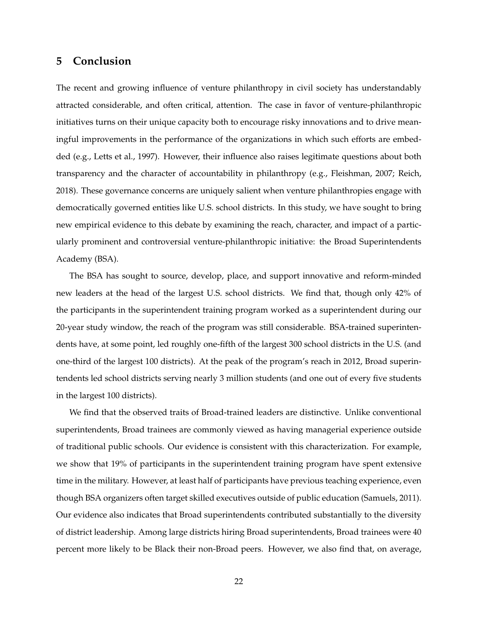## **5 Conclusion**

The recent and growing influence of venture philanthropy in civil society has understandably attracted considerable, and often critical, attention. The case in favor of venture-philanthropic initiatives turns on their unique capacity both to encourage risky innovations and to drive meaningful improvements in the performance of the organizations in which such efforts are embedded (e.g., [Letts et al.,](#page-25-0) [1997\)](#page-25-0). However, their influence also raises legitimate questions about both transparency and the character of accountability in philanthropy (e.g., [Fleishman,](#page-24-0) [2007;](#page-24-0) [Reich,](#page-26-1) [2018\)](#page-26-1). These governance concerns are uniquely salient when venture philanthropies engage with democratically governed entities like U.S. school districts. In this study, we have sought to bring new empirical evidence to this debate by examining the reach, character, and impact of a particularly prominent and controversial venture-philanthropic initiative: the Broad Superintendents Academy (BSA).

The BSA has sought to source, develop, place, and support innovative and reform-minded new leaders at the head of the largest U.S. school districts. We find that, though only 42% of the participants in the superintendent training program worked as a superintendent during our 20-year study window, the reach of the program was still considerable. BSA-trained superintendents have, at some point, led roughly one-fifth of the largest 300 school districts in the U.S. (and one-third of the largest 100 districts). At the peak of the program's reach in 2012, Broad superintendents led school districts serving nearly 3 million students (and one out of every five students in the largest 100 districts).

We find that the observed traits of Broad-trained leaders are distinctive. Unlike conventional superintendents, Broad trainees are commonly viewed as having managerial experience outside of traditional public schools. Our evidence is consistent with this characterization. For example, we show that 19% of participants in the superintendent training program have spent extensive time in the military. However, at least half of participants have previous teaching experience, even though BSA organizers often target skilled executives outside of public education [\(Samuels,](#page-26-5) [2011\)](#page-26-5). Our evidence also indicates that Broad superintendents contributed substantially to the diversity of district leadership. Among large districts hiring Broad superintendents, Broad trainees were 40 percent more likely to be Black their non-Broad peers. However, we also find that, on average,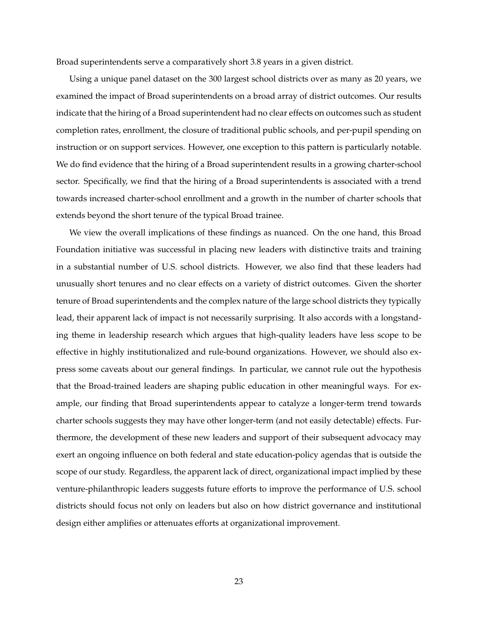Broad superintendents serve a comparatively short 3.8 years in a given district.

Using a unique panel dataset on the 300 largest school districts over as many as 20 years, we examined the impact of Broad superintendents on a broad array of district outcomes. Our results indicate that the hiring of a Broad superintendent had no clear effects on outcomes such as student completion rates, enrollment, the closure of traditional public schools, and per-pupil spending on instruction or on support services. However, one exception to this pattern is particularly notable. We do find evidence that the hiring of a Broad superintendent results in a growing charter-school sector. Specifically, we find that the hiring of a Broad superintendents is associated with a trend towards increased charter-school enrollment and a growth in the number of charter schools that extends beyond the short tenure of the typical Broad trainee.

We view the overall implications of these findings as nuanced. On the one hand, this Broad Foundation initiative was successful in placing new leaders with distinctive traits and training in a substantial number of U.S. school districts. However, we also find that these leaders had unusually short tenures and no clear effects on a variety of district outcomes. Given the shorter tenure of Broad superintendents and the complex nature of the large school districts they typically lead, their apparent lack of impact is not necessarily surprising. It also accords with a longstanding theme in leadership research which argues that high-quality leaders have less scope to be effective in highly institutionalized and rule-bound organizations. However, we should also express some caveats about our general findings. In particular, we cannot rule out the hypothesis that the Broad-trained leaders are shaping public education in other meaningful ways. For example, our finding that Broad superintendents appear to catalyze a longer-term trend towards charter schools suggests they may have other longer-term (and not easily detectable) effects. Furthermore, the development of these new leaders and support of their subsequent advocacy may exert an ongoing influence on both federal and state education-policy agendas that is outside the scope of our study. Regardless, the apparent lack of direct, organizational impact implied by these venture-philanthropic leaders suggests future efforts to improve the performance of U.S. school districts should focus not only on leaders but also on how district governance and institutional design either amplifies or attenuates efforts at organizational improvement.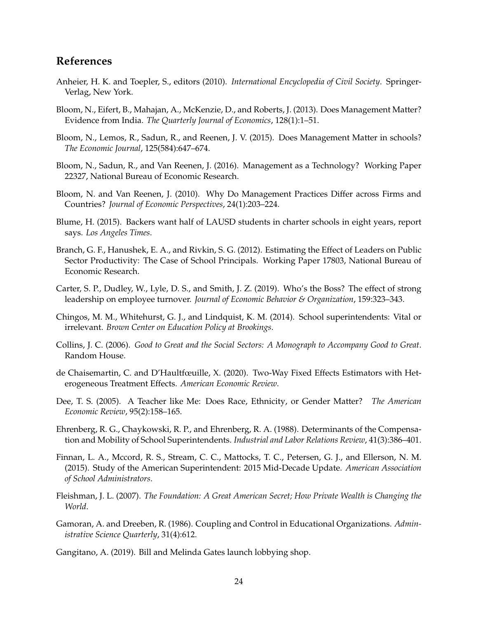## **References**

- <span id="page-24-1"></span>Anheier, H. K. and Toepler, S., editors (2010). *International Encyclopedia of Civil Society*. Springer-Verlag, New York.
- <span id="page-24-4"></span>Bloom, N., Eifert, B., Mahajan, A., McKenzie, D., and Roberts, J. (2013). Does Management Matter? Evidence from India. *The Quarterly Journal of Economics*, 128(1):1–51.
- <span id="page-24-9"></span>Bloom, N., Lemos, R., Sadun, R., and Reenen, J. V. (2015). Does Management Matter in schools? *The Economic Journal*, 125(584):647–674.
- <span id="page-24-5"></span>Bloom, N., Sadun, R., and Van Reenen, J. (2016). Management as a Technology? Working Paper 22327, National Bureau of Economic Research.
- <span id="page-24-3"></span>Bloom, N. and Van Reenen, J. (2010). Why Do Management Practices Differ across Firms and Countries? *Journal of Economic Perspectives*, 24(1):203–224.
- <span id="page-24-16"></span>Blume, H. (2015). Backers want half of LAUSD students in charter schools in eight years, report says. *Los Angeles Times*.
- <span id="page-24-8"></span>Branch, G. F., Hanushek, E. A., and Rivkin, S. G. (2012). Estimating the Effect of Leaders on Public Sector Productivity: The Case of School Principals. Working Paper 17803, National Bureau of Economic Research.
- <span id="page-24-6"></span>Carter, S. P., Dudley, W., Lyle, D. S., and Smith, J. Z. (2019). Who's the Boss? The effect of strong leadership on employee turnover. *Journal of Economic Behavior & Organization*, 159:323–343.
- <span id="page-24-11"></span>Chingos, M. M., Whitehurst, G. J., and Lindquist, K. M. (2014). School superintendents: Vital or irrelevant. *Brown Center on Education Policy at Brookings*.
- <span id="page-24-7"></span>Collins, J. C. (2006). *Good to Great and the Social Sectors: A Monograph to Accompany Good to Great*. Random House.
- <span id="page-24-15"></span>de Chaisemartin, C. and D'Haultfœuille, X. (2020). Two-Way Fixed Effects Estimators with Heterogeneous Treatment Effects. *American Economic Review*.
- <span id="page-24-14"></span>Dee, T. S. (2005). A Teacher like Me: Does Race, Ethnicity, or Gender Matter? *The American Economic Review*, 95(2):158–165.
- <span id="page-24-10"></span>Ehrenberg, R. G., Chaykowski, R. P., and Ehrenberg, R. A. (1988). Determinants of the Compensation and Mobility of School Superintendents. *Industrial and Labor Relations Review*, 41(3):386–401.
- <span id="page-24-13"></span>Finnan, L. A., Mccord, R. S., Stream, C. C., Mattocks, T. C., Petersen, G. J., and Ellerson, N. M. (2015). Study of the American Superintendent: 2015 Mid-Decade Update. *American Association of School Administrators*.
- <span id="page-24-0"></span>Fleishman, J. L. (2007). *The Foundation: A Great American Secret; How Private Wealth is Changing the World*.
- <span id="page-24-12"></span>Gamoran, A. and Dreeben, R. (1986). Coupling and Control in Educational Organizations. *Administrative Science Quarterly*, 31(4):612.

<span id="page-24-2"></span>Gangitano, A. (2019). Bill and Melinda Gates launch lobbying shop.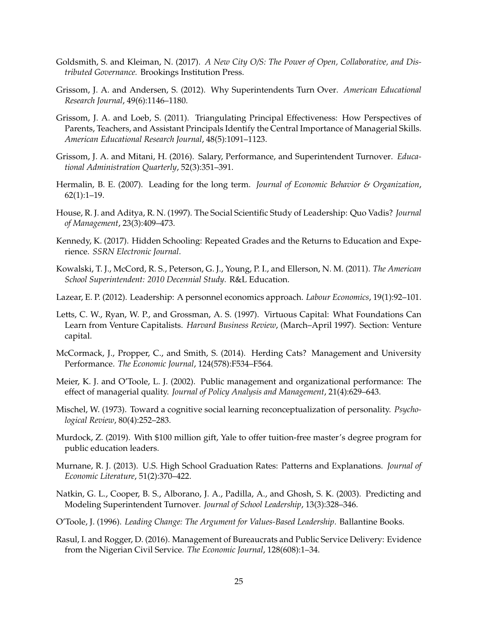- <span id="page-25-8"></span>Goldsmith, S. and Kleiman, N. (2017). *A New City O/S: The Power of Open, Collaborative, and Distributed Governance.* Brookings Institution Press.
- <span id="page-25-12"></span>Grissom, J. A. and Andersen, S. (2012). Why Superintendents Turn Over. *American Educational Research Journal*, 49(6):1146–1180.
- <span id="page-25-9"></span>Grissom, J. A. and Loeb, S. (2011). Triangulating Principal Effectiveness: How Perspectives of Parents, Teachers, and Assistant Principals Identify the Central Importance of Managerial Skills. *American Educational Research Journal*, 48(5):1091–1123.
- <span id="page-25-11"></span>Grissom, J. A. and Mitani, H. (2016). Salary, Performance, and Superintendent Turnover. *Educational Administration Quarterly*, 52(3):351–391.
- <span id="page-25-4"></span>Hermalin, B. E. (2007). Leading for the long term. *Journal of Economic Behavior & Organization*,  $62(1):1-19.$
- <span id="page-25-6"></span>House, R. J. and Aditya, R. N. (1997). The Social Scientific Study of Leadership: Quo Vadis? *Journal of Management*, 23(3):409–473.
- <span id="page-25-16"></span>Kennedy, K. (2017). Hidden Schooling: Repeated Grades and the Returns to Education and Experience. *SSRN Electronic Journal*.
- <span id="page-25-15"></span>Kowalski, T. J., McCord, R. S., Peterson, G. J., Young, P. I., and Ellerson, N. M. (2011). *The American School Superintendent: 2010 Decennial Study*. R&L Education.
- <span id="page-25-5"></span>Lazear, E. P. (2012). Leadership: A personnel economics approach. *Labour Economics*, 19(1):92–101.
- <span id="page-25-0"></span>Letts, C. W., Ryan, W. P., and Grossman, A. S. (1997). Virtuous Capital: What Foundations Can Learn from Venture Capitalists. *Harvard Business Review*, (March–April 1997). Section: Venture capital.
- <span id="page-25-2"></span>McCormack, J., Propper, C., and Smith, S. (2014). Herding Cats? Management and University Performance. *The Economic Journal*, 124(578):F534–F564.
- <span id="page-25-13"></span>Meier, K. J. and O'Toole, L. J. (2002). Public management and organizational performance: The effect of managerial quality. *Journal of Policy Analysis and Management*, 21(4):629–643.
- <span id="page-25-14"></span>Mischel, W. (1973). Toward a cognitive social learning reconceptualization of personality. *Psychological Review*, 80(4):252–283.
- <span id="page-25-1"></span>Murdock, Z. (2019). With \$100 million gift, Yale to offer tuition-free master's degree program for public education leaders.
- <span id="page-25-17"></span>Murnane, R. J. (2013). U.S. High School Graduation Rates: Patterns and Explanations. *Journal of Economic Literature*, 51(2):370–422.
- <span id="page-25-10"></span>Natkin, G. L., Cooper, B. S., Alborano, J. A., Padilla, A., and Ghosh, S. K. (2003). Predicting and Modeling Superintendent Turnover. *Journal of School Leadership*, 13(3):328–346.
- <span id="page-25-7"></span>O'Toole, J. (1996). *Leading Change: The Argument for Values-Based Leadership*. Ballantine Books.
- <span id="page-25-3"></span>Rasul, I. and Rogger, D. (2016). Management of Bureaucrats and Public Service Delivery: Evidence from the Nigerian Civil Service. *The Economic Journal*, 128(608):1–34.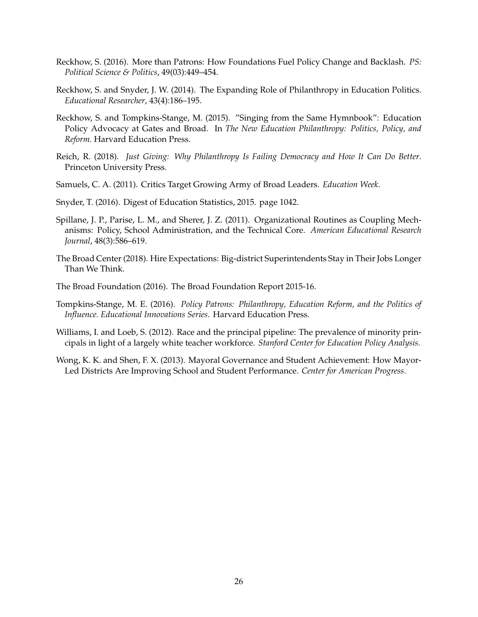- <span id="page-26-4"></span>Reckhow, S. (2016). More than Patrons: How Foundations Fuel Policy Change and Backlash. *PS: Political Science & Politics*, 49(03):449–454.
- <span id="page-26-2"></span>Reckhow, S. and Snyder, J. W. (2014). The Expanding Role of Philanthropy in Education Politics. *Educational Researcher*, 43(4):186–195.
- <span id="page-26-3"></span>Reckhow, S. and Tompkins-Stange, M. (2015). "Singing from the Same Hymnbook": Education Policy Advocacy at Gates and Broad. In *The New Education Philanthropy: Politics, Policy, and Reform.* Harvard Education Press.
- <span id="page-26-1"></span>Reich, R. (2018). *Just Giving: Why Philanthropy Is Failing Democracy and How It Can Do Better*. Princeton University Press.
- <span id="page-26-5"></span>Samuels, C. A. (2011). Critics Target Growing Army of Broad Leaders. *Education Week*.
- <span id="page-26-11"></span>Snyder, T. (2016). Digest of Education Statistics, 2015. page 1042.
- <span id="page-26-7"></span>Spillane, J. P., Parise, L. M., and Sherer, J. Z. (2011). Organizational Routines as Coupling Mechanisms: Policy, School Administration, and the Technical Core. *American Educational Research Journal*, 48(3):586–619.
- <span id="page-26-6"></span>The Broad Center (2018). Hire Expectations: Big-district Superintendents Stay in Their Jobs Longer Than We Think.
- <span id="page-26-8"></span>The Broad Foundation (2016). The Broad Foundation Report 2015-16.
- <span id="page-26-0"></span>Tompkins-Stange, M. E. (2016). *Policy Patrons: Philanthropy, Education Reform, and the Politics of Influence. Educational Innovations Series*. Harvard Education Press.
- <span id="page-26-10"></span>Williams, I. and Loeb, S. (2012). Race and the principal pipeline: The prevalence of minority principals in light of a largely white teacher workforce. *Stanford Center for Education Policy Analysis*.
- <span id="page-26-9"></span>Wong, K. K. and Shen, F. X. (2013). Mayoral Governance and Student Achievement: How Mayor-Led Districts Are Improving School and Student Performance. *Center for American Progress*.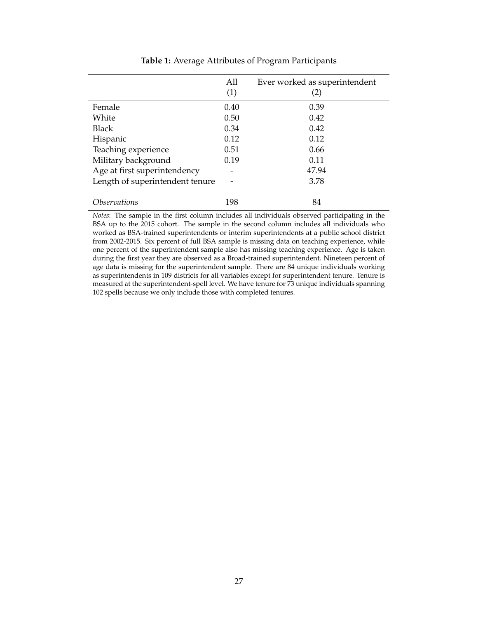<span id="page-27-0"></span>

|                                 | All<br>(1) | Ever worked as superintendent<br>(2) |
|---------------------------------|------------|--------------------------------------|
| Female                          | 0.40       | 0.39                                 |
| White                           | 0.50       | 0.42                                 |
| <b>Black</b>                    | 0.34       | 0.42                                 |
| Hispanic                        | 0.12       | 0.12                                 |
| Teaching experience             | 0.51       | 0.66                                 |
| Military background             | 0.19       | 0.11                                 |
| Age at first superintendency    |            | 47.94                                |
| Length of superintendent tenure |            | 3.78                                 |
|                                 |            |                                      |
| <i><b>Observations</b></i>      | 198        | 84                                   |

**Table 1:** Average Attributes of Program Participants

*Notes*: The sample in the first column includes all individuals observed participating in the BSA up to the 2015 cohort. The sample in the second column includes all individuals who worked as BSA-trained superintendents or interim superintendents at a public school district from 2002-2015. Six percent of full BSA sample is missing data on teaching experience, while one percent of the superintendent sample also has missing teaching experience. Age is taken during the first year they are observed as a Broad-trained superintendent. Nineteen percent of age data is missing for the superintendent sample. There are 84 unique individuals working as superintendents in 109 districts for all variables except for superintendent tenure. Tenure is measured at the superintendent-spell level. We have tenure for 73 unique individuals spanning 102 spells because we only include those with completed tenures.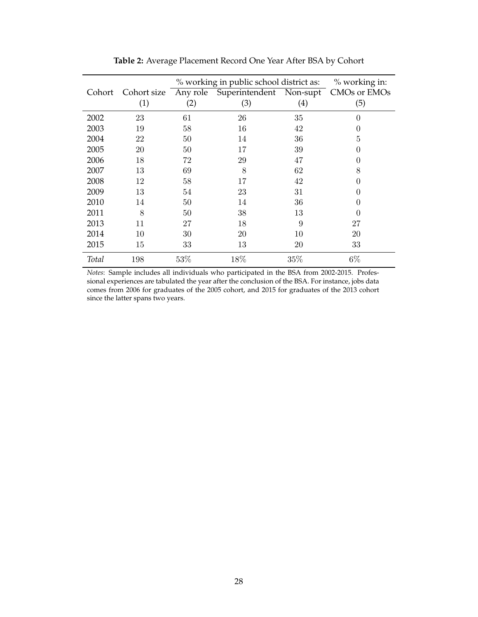<span id="page-28-0"></span>

|        |     |     | % working in public school district as:                   |     | % working in:  |
|--------|-----|-----|-----------------------------------------------------------|-----|----------------|
| Cohort |     |     | Cohort size Any role Superintendent Non-supt CMOs or EMOs |     |                |
|        | (1) | (2) | (3)                                                       | (4) | (5)            |
| 2002   | 23  | 61  | 26                                                        | 35  | 0              |
| 2003   | 19  | 58  | 16                                                        | 42  | 0              |
| 2004   | 22  | 50  | 14                                                        | 36  | $\overline{5}$ |
| 2005   | 20  | 50  | 17                                                        | 39  | 0              |
| 2006   | 18  | 72  | 29                                                        | 47  | 0              |
| 2007   | 13  | 69  | 8                                                         | 62  | 8              |
| 2008   | 12  | 58  | 17                                                        | 42  | 0              |
| 2009   | 13  | 54  | 23                                                        | 31  | 0              |
| 2010   | 14  | 50  | 14                                                        | 36  | 0              |
| 2011   | 8   | 50  | 38                                                        | 13  | $\theta$       |
| 2013   | 11  | 27  | 18                                                        | 9   | 27             |
| 2014   | 10  | 30  | 20                                                        | 10  | 20             |
| 2015   | 15  | 33  | 13                                                        | 20  | 33             |
| Total  | 198 | 53% | 18%                                                       | 35% | $6\%$          |

**Table 2:** Average Placement Record One Year After BSA by Cohort

*Notes*: Sample includes all individuals who participated in the BSA from 2002-2015. Professional experiences are tabulated the year after the conclusion of the BSA. For instance, jobs data comes from 2006 for graduates of the 2005 cohort, and 2015 for graduates of the 2013 cohort since the latter spans two years.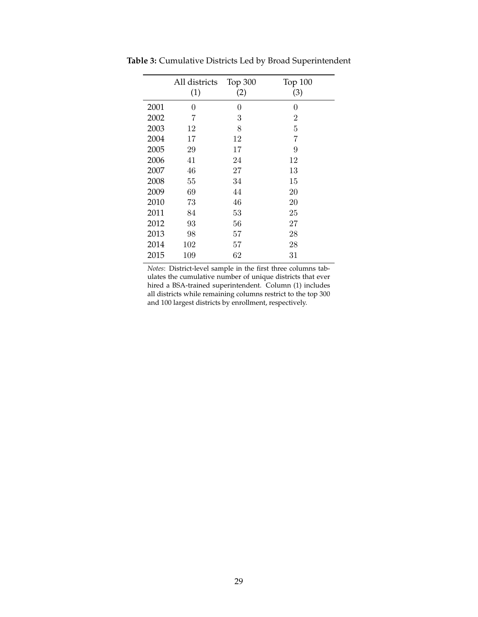|      | All districts | Top 300 | Top 100        |
|------|---------------|---------|----------------|
|      | (1)           | (2)     | (3)            |
| 2001 | 0             | 0       | 0              |
| 2002 | 7             | 3       | $\overline{2}$ |
| 2003 | 12            | 8       | 5              |
| 2004 | 17            | 12      | 7              |
| 2005 | 29            | 17      | 9              |
| 2006 | 41            | 24      | 12             |
| 2007 | 46            | 27      | 13             |
| 2008 | 55            | 34      | 15             |
| 2009 | 69            | 44      | 20             |
| 2010 | 73            | 46      | 20             |
| 2011 | 84            | 53      | 25             |
| 2012 | 93            | 56      | 27             |
| 2013 | 98            | 57      | 28             |
| 2014 | 102           | 57      | 28             |
| 2015 | 109           | 62      | 31             |

<span id="page-29-0"></span>**Table 3:** Cumulative Districts Led by Broad Superintendent

*Notes*: District-level sample in the first three columns tabulates the cumulative number of unique districts that ever hired a BSA-trained superintendent. Column (1) includes all districts while remaining columns restrict to the top 300 and 100 largest districts by enrollment, respectively.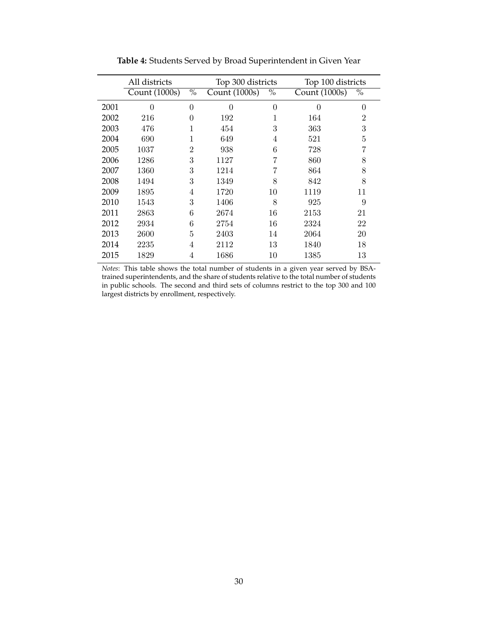<span id="page-30-0"></span>

|      | All districts |                | Top 300 districts |          | Top 100 districts |                |
|------|---------------|----------------|-------------------|----------|-------------------|----------------|
|      | Count (1000s) | $\%$           | Count (1000s)     | $\%$     | Count (1000s)     | $\%$           |
| 2001 | $\theta$      | $\overline{0}$ | $\theta$          | $\theta$ | 0                 | 0              |
| 2002 | 216           | 0              | 192               | 1        | 164               | $\overline{2}$ |
| 2003 | 476           | 1              | 454               | 3        | 363               | 3              |
| 2004 | 690           | 1              | 649               | 4        | 521               | 5              |
| 2005 | 1037          | $\overline{2}$ | 938               | 6        | 728               | 7              |
| 2006 | 1286          | 3              | 1127              |          | 860               | 8              |
| 2007 | 1360          | 3              | 1214              |          | 864               | 8              |
| 2008 | 1494          | 3              | 1349              | 8        | 842               | 8              |
| 2009 | 1895          | 4              | 1720              | 10       | 1119              | 11             |
| 2010 | 1543          | 3              | 1406              | 8        | 925               | 9              |
| 2011 | 2863          | 6              | 2674              | 16       | 2153              | 21             |
| 2012 | 2934          | 6              | 2754              | 16       | 2324              | 22             |
| 2013 | 2600          | 5              | 2403              | 14       | 2064              | 20             |
| 2014 | 2235          | 4              | 2112              | 13       | 1840              | 18             |
| 2015 | 1829          | 4              | 1686              | 10       | 1385              | 13             |

**Table 4:** Students Served by Broad Superintendent in Given Year

*Notes*: This table shows the total number of students in a given year served by BSAtrained superintendents, and the share of students relative to the total number of students in public schools. The second and third sets of columns restrict to the top 300 and 100 largest districts by enrollment, respectively.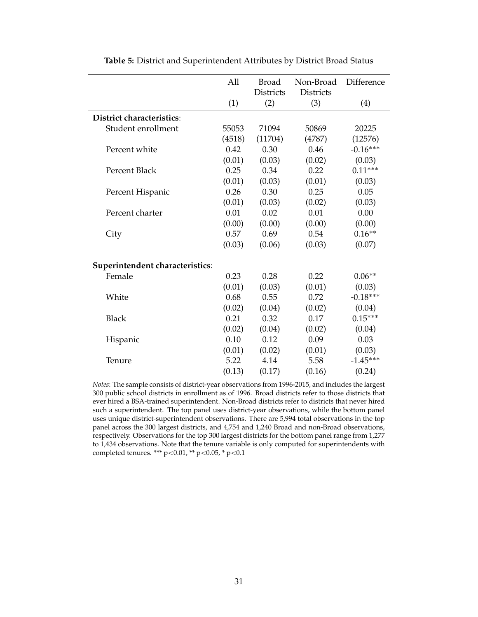<span id="page-31-0"></span>

|                                  | All    | <b>Broad</b>     | Non-Broad        | Difference |
|----------------------------------|--------|------------------|------------------|------------|
|                                  |        | <b>Districts</b> | <b>Districts</b> |            |
|                                  | (1)    | (2)              | (3)              | (4)        |
| <b>District characteristics:</b> |        |                  |                  |            |
| Student enrollment               | 55053  | 71094            | 50869            | 20225      |
|                                  | (4518) | (11704)          | (4787)           | (12576)    |
| Percent white                    | 0.42   | 0.30             | 0.46             | $-0.16***$ |
|                                  | (0.01) | (0.03)           | (0.02)           | (0.03)     |
| Percent Black                    | 0.25   | 0.34             | 0.22             | $0.11***$  |
|                                  | (0.01) | (0.03)           | (0.01)           | (0.03)     |
| Percent Hispanic                 | 0.26   | 0.30             | 0.25             | 0.05       |
|                                  | (0.01) | (0.03)           | (0.02)           | (0.03)     |
| Percent charter                  | 0.01   | 0.02             | 0.01             | 0.00       |
|                                  | (0.00) | (0.00)           | (0.00)           | (0.00)     |
| City                             | 0.57   | 0.69             | 0.54             | $0.16**$   |
|                                  | (0.03) | (0.06)           | (0.03)           | (0.07)     |
| Superintendent characteristics:  |        |                  |                  |            |
| Female                           | 0.23   | 0.28             | 0.22             | $0.06**$   |
|                                  | (0.01) | (0.03)           | (0.01)           | (0.03)     |
| White                            | 0.68   | 0.55             | 0.72             | $-0.18***$ |
|                                  | (0.02) | (0.04)           | (0.02)           | (0.04)     |
| <b>Black</b>                     | 0.21   | 0.32             | 0.17             | $0.15***$  |
|                                  | (0.02) | (0.04)           | (0.02)           | (0.04)     |
| Hispanic                         | 0.10   | 0.12             | 0.09             | 0.03       |
|                                  | (0.01) | (0.02)           | (0.01)           | (0.03)     |
| Tenure                           | 5.22   | 4.14             | 5.58             | $-1.45***$ |
|                                  | (0.13) | (0.17)           | (0.16)           | (0.24)     |

**Table 5:** District and Superintendent Attributes by District Broad Status

*Notes*: The sample consists of district-year observations from 1996-2015, and includes the largest 300 public school districts in enrollment as of 1996. Broad districts refer to those districts that ever hired a BSA-trained superintendent. Non-Broad districts refer to districts that never hired such a superintendent. The top panel uses district-year observations, while the bottom panel uses unique district-superintendent observations. There are 5,994 total observations in the top panel across the 300 largest districts, and 4,754 and 1,240 Broad and non-Broad observations, respectively. Observations for the top 300 largest districts for the bottom panel range from 1,277 to 1,434 observations. Note that the tenure variable is only computed for superintendents with completed tenures. \*\*\* p<0.01, \*\* p<0.05, \* p<0.1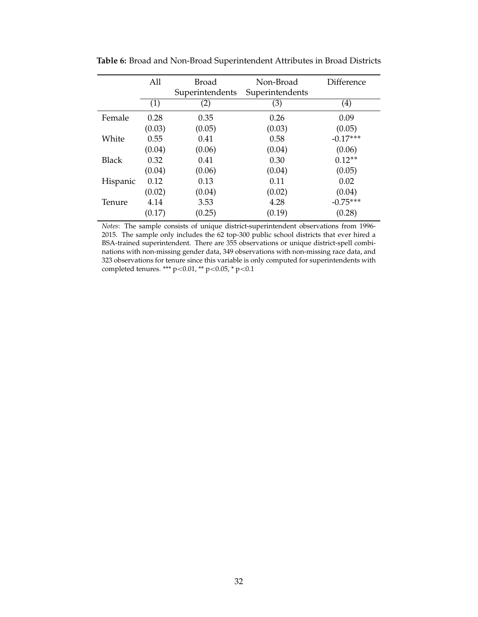|              | All    | Broad<br>Superintendents | Non-Broad<br>Superintendents | Difference        |
|--------------|--------|--------------------------|------------------------------|-------------------|
|              | (1)    | (2)                      | (3)                          | $\left( 4\right)$ |
| Female       | 0.28   | 0.35                     | 0.26                         | 0.09              |
|              | (0.03) | (0.05)                   | (0.03)                       | (0.05)            |
| White        | 0.55   | 0.41                     | 0.58                         | $-0.17***$        |
|              | (0.04) | (0.06)                   | (0.04)                       | (0.06)            |
| <b>Black</b> | 0.32   | 0.41                     | 0.30                         | $0.12**$          |
|              | (0.04) | (0.06)                   | (0.04)                       | (0.05)            |
| Hispanic     | 0.12   | 0.13                     | 0.11                         | 0.02              |
|              | (0.02) | (0.04)                   | (0.02)                       | (0.04)            |
| Tenure       | 4.14   | 3.53                     | 4.28                         | $-0.75***$        |
|              | (0.17) | (0.25)                   | (0.19)                       | (0.28)            |

<span id="page-32-0"></span>**Table 6:** Broad and Non-Broad Superintendent Attributes in Broad Districts

*Notes*: The sample consists of unique district-superintendent observations from 1996- 2015. The sample only includes the 62 top-300 public school districts that ever hired a BSA-trained superintendent. There are 355 observations or unique district-spell combinations with non-missing gender data, 349 observations with non-missing race data, and 323 observations for tenure since this variable is only computed for superintendents with completed tenures. \*\*\* p<0.01, \*\* p<0.05, \* p<0.1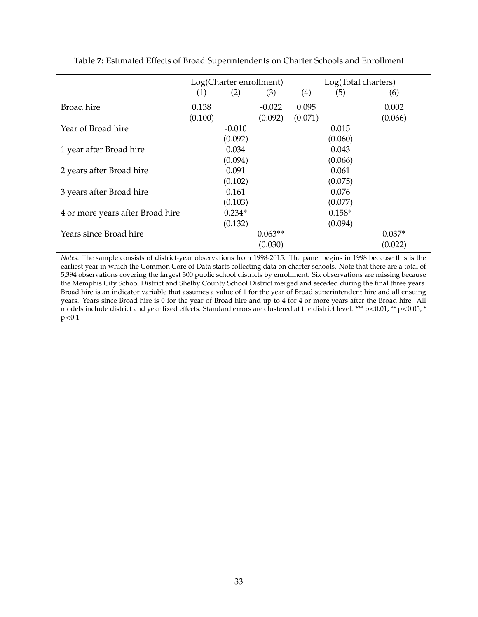|                                  | Log(Charter enrollment) |          |           |         | Log(Total charters) |          |
|----------------------------------|-------------------------|----------|-----------|---------|---------------------|----------|
|                                  | (1)                     | (2)      | (3)       | (4)     | (5)                 | (6)      |
| <b>Broad</b> hire                | 0.138                   |          | $-0.022$  | 0.095   |                     | 0.002    |
|                                  | (0.100)                 |          | (0.092)   | (0.071) |                     | (0.066)  |
| Year of Broad hire               |                         | $-0.010$ |           |         | 0.015               |          |
|                                  |                         | (0.092)  |           |         | (0.060)             |          |
| 1 year after Broad hire          |                         | 0.034    |           |         | 0.043               |          |
|                                  |                         | (0.094)  |           |         | (0.066)             |          |
| 2 years after Broad hire         |                         | 0.091    |           |         | 0.061               |          |
|                                  |                         | (0.102)  |           |         | (0.075)             |          |
| 3 years after Broad hire         |                         | 0.161    |           |         | 0.076               |          |
|                                  |                         | (0.103)  |           |         | (0.077)             |          |
| 4 or more years after Broad hire |                         | $0.234*$ |           |         | $0.158*$            |          |
|                                  |                         | (0.132)  |           |         | (0.094)             |          |
| Years since Broad hire           |                         |          | $0.063**$ |         |                     | $0.037*$ |
|                                  |                         |          | (0.030)   |         |                     | (0.022)  |

<span id="page-33-0"></span>**Table 7:** Estimated Effects of Broad Superintendents on Charter Schools and Enrollment

*Notes*: The sample consists of district-year observations from 1998-2015. The panel begins in 1998 because this is the earliest year in which the Common Core of Data starts collecting data on charter schools. Note that there are a total of 5,394 observations covering the largest 300 public school districts by enrollment. Six observations are missing because the Memphis City School District and Shelby County School District merged and seceded during the final three years. Broad hire is an indicator variable that assumes a value of 1 for the year of Broad superintendent hire and all ensuing years. Years since Broad hire is 0 for the year of Broad hire and up to 4 for 4 or more years after the Broad hire. All models include district and year fixed effects. Standard errors are clustered at the district level. \*\*\* p<0.01, \*\* p<0.05, \*  $p<0.1$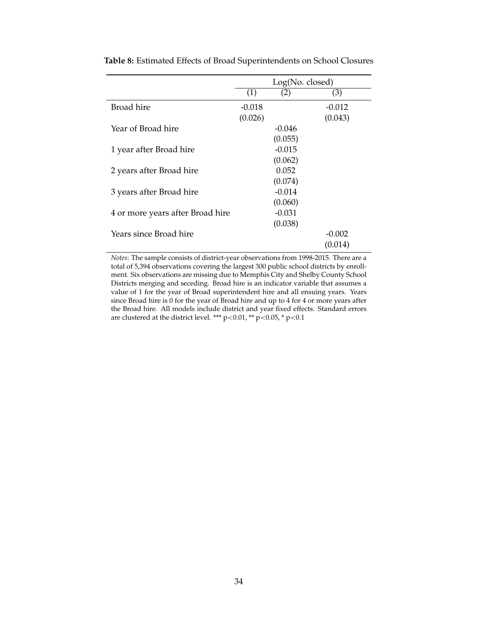|                                  | Log(No. closed) |          |          |  |  |  |
|----------------------------------|-----------------|----------|----------|--|--|--|
|                                  | (1)             | (2)      | (3)      |  |  |  |
| <b>Broad</b> hire                | $-0.018$        |          | $-0.012$ |  |  |  |
|                                  | (0.026)         |          | (0.043)  |  |  |  |
| Year of Broad hire               |                 | $-0.046$ |          |  |  |  |
|                                  |                 | (0.055)  |          |  |  |  |
| 1 year after Broad hire          |                 | $-0.015$ |          |  |  |  |
|                                  |                 | (0.062)  |          |  |  |  |
| 2 years after Broad hire         |                 | 0.052    |          |  |  |  |
|                                  |                 | (0.074)  |          |  |  |  |
| 3 years after Broad hire         |                 | $-0.014$ |          |  |  |  |
|                                  |                 | (0.060)  |          |  |  |  |
| 4 or more years after Broad hire |                 | $-0.031$ |          |  |  |  |
|                                  |                 | (0.038)  |          |  |  |  |
| Years since Broad hire           |                 |          | $-0.002$ |  |  |  |
|                                  |                 |          | (0.014)  |  |  |  |

<span id="page-34-0"></span>**Table 8:** Estimated Effects of Broad Superintendents on School Closures

*Notes*: The sample consists of district-year observations from 1998-2015. There are a total of 5,394 observations covering the largest 300 public school districts by enrollment. Six observations are missing due to Memphis City and Shelby County School Districts merging and seceding. Broad hire is an indicator variable that assumes a value of 1 for the year of Broad superintendent hire and all ensuing years. Years since Broad hire is 0 for the year of Broad hire and up to 4 for 4 or more years after the Broad hire. All models include district and year fixed effects. Standard errors are clustered at the district level. \*\*\* p<0.01, \*\* p<0.05, \* p<0.1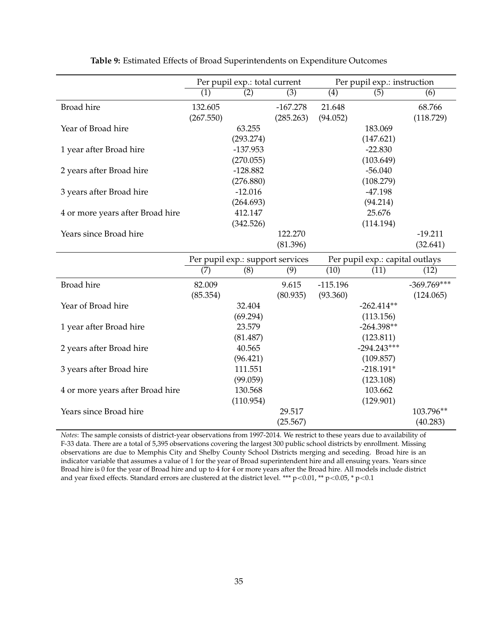<span id="page-35-0"></span>

|                                  |                      | Per pupil exp.: total current    |                         | Per pupil exp.: instruction |                                 |                            |
|----------------------------------|----------------------|----------------------------------|-------------------------|-----------------------------|---------------------------------|----------------------------|
|                                  | (1)                  | (2)                              | (3)                     | (4)                         | (5)                             | (6)                        |
| <b>Broad</b> hire                | 132.605<br>(267.550) |                                  | $-167.278$<br>(285.263) | 21.648<br>(94.052)          |                                 | 68.766<br>(118.729)        |
| Year of Broad hire               |                      | 63.255<br>(293.274)              |                         |                             | 183.069<br>(147.621)            |                            |
| 1 year after Broad hire          |                      | $-137.953$<br>(270.055)          |                         |                             | $-22.830$<br>(103.649)          |                            |
| 2 years after Broad hire         |                      | $-128.882$<br>(276.880)          |                         |                             | $-56.040$<br>(108.279)          |                            |
| 3 years after Broad hire         |                      | $-12.016$<br>(264.693)           |                         |                             | $-47.198$<br>(94.214)           |                            |
| 4 or more years after Broad hire |                      | 412.147                          |                         |                             | 25.676                          |                            |
| Years since Broad hire           |                      | (342.526)                        | 122.270<br>(81.396)     |                             | (114.194)                       | $-19.211$<br>(32.641)      |
|                                  |                      | Per pupil exp.: support services |                         |                             | Per pupil exp.: capital outlays |                            |
|                                  | (7)                  | (8)                              | (9)                     | (10)                        | (11)                            | (12)                       |
| <b>Broad</b> hire                | 82.009<br>(85.354)   |                                  | 9.615<br>(80.935)       | $-115.196$<br>(93.360)      |                                 | $-369.769***$<br>(124.065) |
| Year of Broad hire               |                      | 32.404<br>(69.294)               |                         |                             | $-262.414**$<br>(113.156)       |                            |
| 1 year after Broad hire          |                      | 23.579<br>(81.487)               |                         |                             | $-264.398**$<br>(123.811)       |                            |
| 2 years after Broad hire         |                      | 40.565<br>(96.421)               |                         |                             | $-294.243***$<br>(109.857)      |                            |
| 3 years after Broad hire         |                      | 111.551                          |                         |                             | $-218.191*$                     |                            |
| 4 or more years after Broad hire |                      | (99.059)<br>130.568              |                         |                             | (123.108)<br>103.662            |                            |
| Years since Broad hire           |                      | (110.954)                        | 29.517<br>(25.567)      |                             | (129.901)                       | 103.796**<br>(40.283)      |

| Table 9: Estimated Effects of Broad Superintendents on Expenditure Outcomes |  |  |  |
|-----------------------------------------------------------------------------|--|--|--|
|-----------------------------------------------------------------------------|--|--|--|

*Notes*: The sample consists of district-year observations from 1997-2014. We restrict to these years due to availability of F-33 data. There are a total of 5,395 observations covering the largest 300 public school districts by enrollment. Missing observations are due to Memphis City and Shelby County School Districts merging and seceding. Broad hire is an indicator variable that assumes a value of 1 for the year of Broad superintendent hire and all ensuing years. Years since Broad hire is 0 for the year of Broad hire and up to 4 for 4 or more years after the Broad hire. All models include district and year fixed effects. Standard errors are clustered at the district level. \*\*\* p<0.01, \*\* p<0.05, \* p<0.1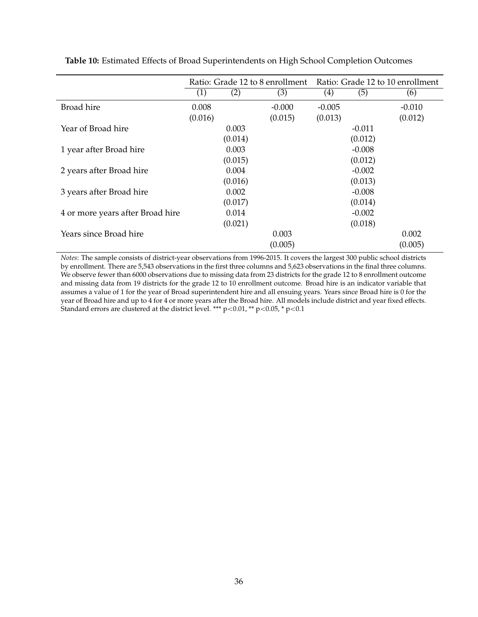|                                  | Ratio: Grade 12 to 8 enrollment |         |          | Ratio: Grade 12 to 10 enrollment |          |          |
|----------------------------------|---------------------------------|---------|----------|----------------------------------|----------|----------|
|                                  | (1)                             | (2)     | (3)      | (4)                              | (5)      | (6)      |
| <b>Broad</b> hire                | 0.008                           |         | $-0.000$ | $-0.005$                         |          | $-0.010$ |
|                                  | (0.016)                         |         | (0.015)  | (0.013)                          |          | (0.012)  |
| Year of Broad hire               |                                 | 0.003   |          |                                  | $-0.011$ |          |
|                                  |                                 | (0.014) |          |                                  | (0.012)  |          |
| 1 year after Broad hire          |                                 | 0.003   |          |                                  | $-0.008$ |          |
|                                  |                                 | (0.015) |          |                                  | (0.012)  |          |
| 2 years after Broad hire         |                                 | 0.004   |          |                                  | $-0.002$ |          |
|                                  |                                 | (0.016) |          |                                  | (0.013)  |          |
| 3 years after Broad hire         |                                 | 0.002   |          |                                  | $-0.008$ |          |
|                                  |                                 | (0.017) |          |                                  | (0.014)  |          |
| 4 or more years after Broad hire |                                 | 0.014   |          |                                  | $-0.002$ |          |
|                                  |                                 | (0.021) |          |                                  | (0.018)  |          |
| Years since Broad hire           |                                 |         | 0.003    |                                  |          | 0.002    |
|                                  |                                 |         | (0.005)  |                                  |          | (0.005)  |

<span id="page-36-0"></span>**Table 10:** Estimated Effects of Broad Superintendents on High School Completion Outcomes

*Notes*: The sample consists of district-year observations from 1996-2015. It covers the largest 300 public school districts by enrollment. There are 5,543 observations in the first three columns and 5,623 observations in the final three columns. We observe fewer than 6000 observations due to missing data from 23 districts for the grade 12 to 8 enrollment outcome and missing data from 19 districts for the grade 12 to 10 enrollment outcome. Broad hire is an indicator variable that assumes a value of 1 for the year of Broad superintendent hire and all ensuing years. Years since Broad hire is 0 for the year of Broad hire and up to 4 for 4 or more years after the Broad hire. All models include district and year fixed effects. Standard errors are clustered at the district level. \*\*\*  $p<0.01$ , \*\*  $p<0.05$ , \*  $p<0.1$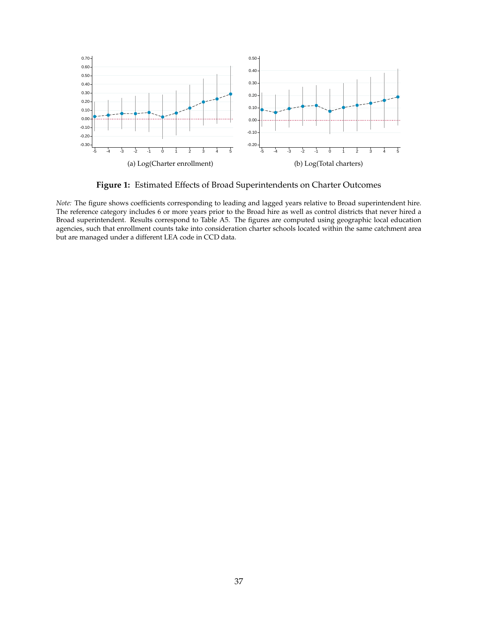<span id="page-37-0"></span>

**Figure 1:** Estimated Effects of Broad Superintendents on Charter Outcomes

*Note:* The figure shows coefficients corresponding to leading and lagged years relative to Broad superintendent hire. The reference category includes 6 or more years prior to the Broad hire as well as control districts that never hired a Broad superintendent. Results correspond to Table [A5.](#page-47-0) The figures are computed using geographic local education agencies, such that enrollment counts take into consideration charter schools located within the same catchment area but are managed under a different LEA code in CCD data.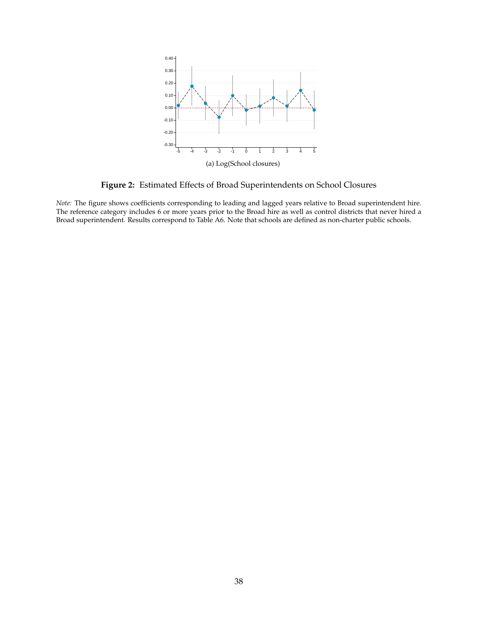<span id="page-38-0"></span>

**Figure 2:** Estimated Effects of Broad Superintendents on School Closures

*Note:* The figure shows coefficients corresponding to leading and lagged years relative to Broad superintendent hire. The reference category includes 6 or more years prior to the Broad hire as well as control districts that never hired a Broad superintendent. Results correspond to Table [A6.](#page-48-0) Note that schools are defined as non-charter public schools.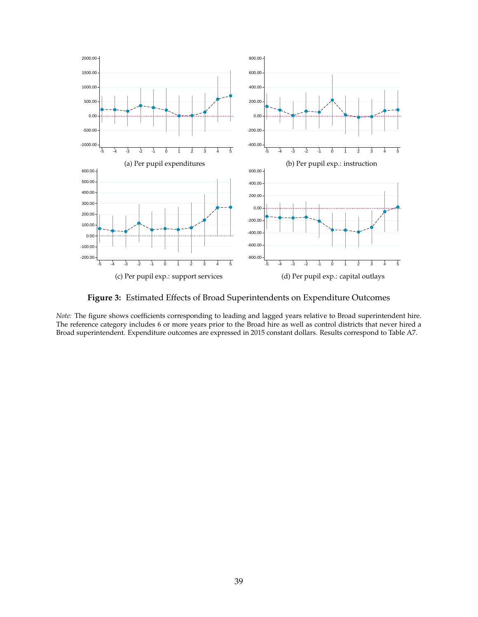<span id="page-39-0"></span>

**Figure 3:** Estimated Effects of Broad Superintendents on Expenditure Outcomes

*Note:* The figure shows coefficients corresponding to leading and lagged years relative to Broad superintendent hire. The reference category includes 6 or more years prior to the Broad hire as well as control districts that never hired a Broad superintendent. Expenditure outcomes are expressed in 2015 constant dollars. Results correspond to Table [A7.](#page-49-0)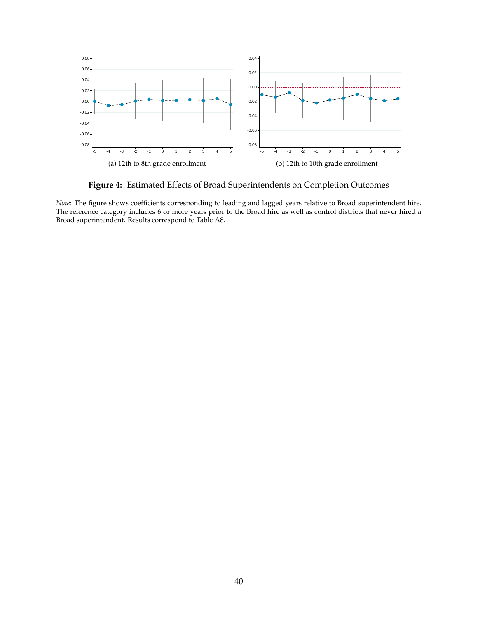<span id="page-40-0"></span>

**Figure 4:** Estimated Effects of Broad Superintendents on Completion Outcomes

*Note:* The figure shows coefficients corresponding to leading and lagged years relative to Broad superintendent hire. The reference category includes 6 or more years prior to the Broad hire as well as control districts that never hired a Broad superintendent. Results correspond to Table [A8.](#page-50-0)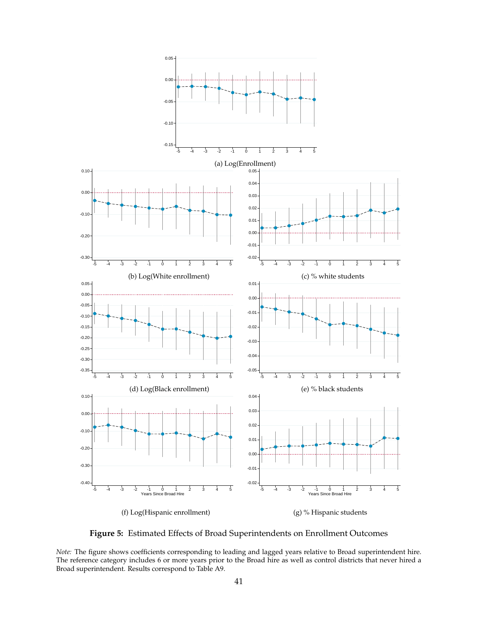<span id="page-41-0"></span>

**Figure 5:** Estimated Effects of Broad Superintendents on Enrollment Outcomes

*Note:* The figure shows coefficients corresponding to leading and lagged years relative to Broad superintendent hire. The reference category includes 6 or more years prior to the Broad hire as well as control districts that never hired a Broad superintendent. Results correspond to Table [A9.](#page-51-0)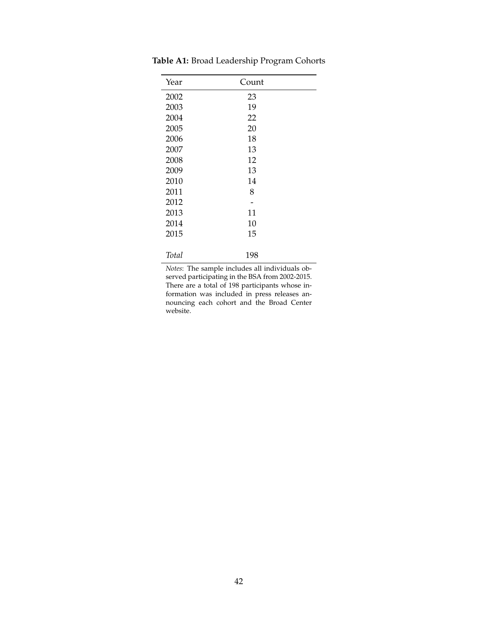| Year  | Count |  |
|-------|-------|--|
| 2002  | 23    |  |
| 2003  | 19    |  |
| 2004  | 22    |  |
| 2005  | 20    |  |
| 2006  | 18    |  |
| 2007  | 13    |  |
| 2008  | 12    |  |
| 2009  | 13    |  |
| 2010  | 14    |  |
| 2011  | 8     |  |
| 2012  |       |  |
| 2013  | 11    |  |
| 2014  | 10    |  |
| 2015  | 15    |  |
| Total | 198   |  |

<span id="page-42-0"></span>**Table A1:** Broad Leadership Program Cohorts

*Notes*: The sample includes all individuals observed participating in the BSA from 2002-2015. There are a total of 198 participants whose information was included in press releases announcing each cohort and the Broad Center website.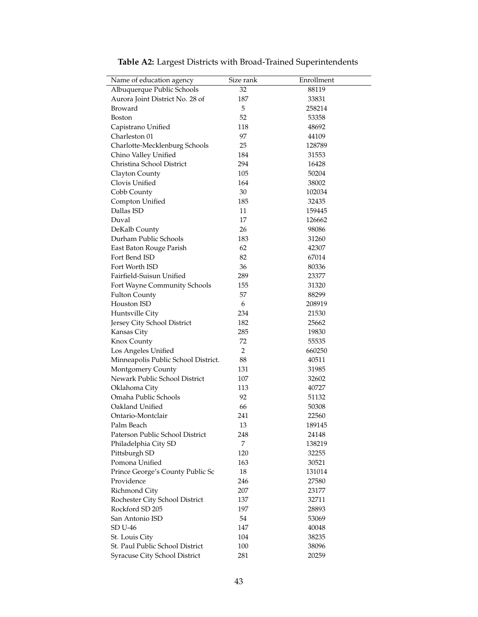<span id="page-43-0"></span>

| Name of education agency            | Size rank      | Enrollment |
|-------------------------------------|----------------|------------|
| Albuquerque Public Schools          | 32             | 88119      |
| Aurora Joint District No. 28 of     | 187            | 33831      |
| Broward                             | 5              | 258214     |
| Boston                              | 52             | 53358      |
| Capistrano Unified                  | 118            | 48692      |
| Charleston 01                       | 97             | 44109      |
| Charlotte-Mecklenburg Schools       | 25             | 128789     |
| Chino Valley Unified                | 184            | 31553      |
| Christina School District           | 294            | 16428      |
| Clayton County                      | 105            | 50204      |
| Clovis Unified                      | 164            | 38002      |
| Cobb County                         | 30             | 102034     |
| Compton Unified                     | 185            | 32435      |
| Dallas ISD                          | 11             | 159445     |
| Duval                               | 17             | 126662     |
| DeKalb County                       | 26             | 98086      |
| Durham Public Schools               | 183            | 31260      |
| East Baton Rouge Parish             | 62             | 42307      |
| Fort Bend ISD                       | 82             | 67014      |
| Fort Worth ISD                      | 36             | 80336      |
| Fairfield-Suisun Unified            | 289            | 23377      |
| Fort Wayne Community Schools        | 155            | 31320      |
| <b>Fulton County</b>                | 57             | 88299      |
| Houston ISD                         | 6              | 208919     |
| Huntsville City                     | 234            | 21530      |
| Jersey City School District         | 182            | 25662      |
| Kansas City                         | 285            | 19830      |
| Knox County                         | 72             | 55535      |
| Los Angeles Unified                 | $\overline{2}$ | 660250     |
| Minneapolis Public School District. | 88             | 40511      |
| Montgomery County                   | 131            | 31985      |
| Newark Public School District       | 107            | 32602      |
| Oklahoma City                       | 113            | 40727      |
| Omaha Public Schools                | 92             | 51132      |
| Oakland Unified                     | 66             | 50308      |
| Ontario-Montclair                   | 241            | 22560      |
| Palm Beach                          | 13             | 189145     |
| Paterson Public School District     | 248            | 24148      |
| Philadelphia City SD                | 7              | 138219     |
| Pittsburgh SD                       | 120            | 32255      |
| Pomona Unified                      | 163            | 30521      |
| Prince George's County Public Sc    | 18             | 131014     |
| Providence                          | 246            | 27580      |
| Richmond City                       | 207            | 23177      |
| Rochester City School District      | 137            | 32711      |
| Rockford SD 205                     | 197            | 28893      |
| San Antonio ISD                     | 54             | 53069      |
| <b>SD U-46</b>                      | 147            | 40048      |
| St. Louis City                      | 104            | 38235      |
| St. Paul Public School District     | 100            | 38096      |
| Syracuse City School District       | 281            | 20259      |

**Table A2:** Largest Districts with Broad-Trained Superintendents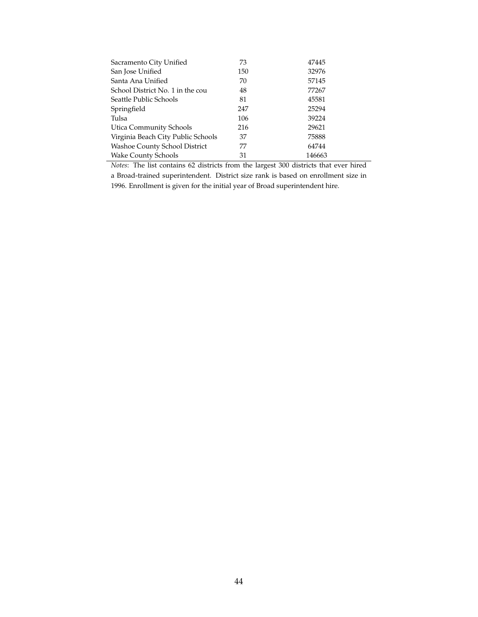| 73  | 47445  |
|-----|--------|
| 150 | 32976  |
| 70  | 57145  |
| 48  | 77267  |
| 81  | 45581  |
| 247 | 25294  |
| 106 | 39224  |
| 216 | 29621  |
| 37  | 75888  |
| 77  | 64744  |
| 31  | 146663 |
|     |        |

*Notes*: The list contains 62 districts from the largest 300 districts that ever hired a Broad-trained superintendent. District size rank is based on enrollment size in 1996. Enrollment is given for the initial year of Broad superintendent hire.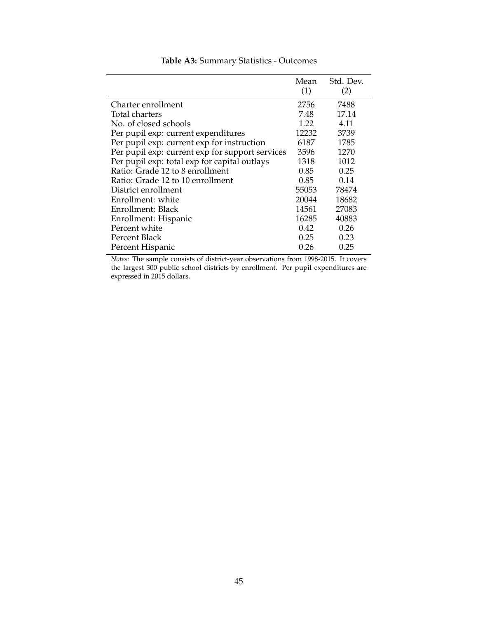<span id="page-45-0"></span>

|                                                 | Mean<br>(1) | Std. Dev.<br>(2) |
|-------------------------------------------------|-------------|------------------|
| Charter enrollment                              | 2756        | 7488             |
| Total charters                                  | 7.48        | 17.14            |
| No. of closed schools                           | 1.22        | 4.11             |
| Per pupil exp: current expenditures             | 12232       | 3739             |
| Per pupil exp: current exp for instruction      | 6187        | 1785             |
| Per pupil exp: current exp for support services | 3596        | 1270             |
| Per pupil exp: total exp for capital outlays    | 1318        | 1012             |
| Ratio: Grade 12 to 8 enrollment                 | 0.85        | 0.25             |
| Ratio: Grade 12 to 10 enrollment                | 0.85        | 0.14             |
| District enrollment                             | 55053       | 78474            |
| Enrollment: white                               | 20044       | 18682            |
| Enrollment: Black                               | 14561       | 27083            |
| Enrollment: Hispanic                            | 16285       | 40883            |
| Percent white                                   | 0.42        | 0.26             |
| Percent Black                                   | 0.25        | 0.23             |
| Percent Hispanic                                | 0.26        | 0.25             |

## **Table A3:** Summary Statistics - Outcomes

*Notes*: The sample consists of district-year observations from 1998-2015. It covers the largest 300 public school districts by enrollment. Per pupil expenditures are expressed in 2015 dollars.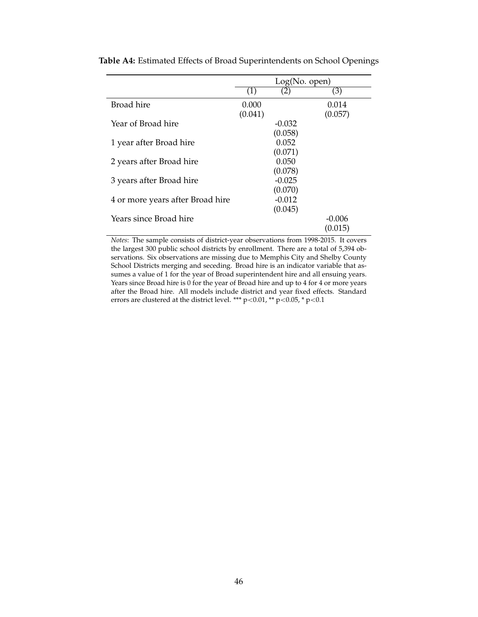|                                  | Log(No. open) |          |          |  |
|----------------------------------|---------------|----------|----------|--|
|                                  | (1)           | (2)      | (3)      |  |
| <b>Broad hire</b>                | 0.000         |          | 0.014    |  |
|                                  | (0.041)       |          | (0.057)  |  |
| Year of Broad hire               |               | $-0.032$ |          |  |
|                                  |               | (0.058)  |          |  |
| 1 year after Broad hire          |               | 0.052    |          |  |
|                                  |               | (0.071)  |          |  |
| 2 years after Broad hire         |               | 0.050    |          |  |
|                                  |               | (0.078)  |          |  |
| 3 years after Broad hire         |               | $-0.025$ |          |  |
|                                  |               | (0.070)  |          |  |
| 4 or more years after Broad hire |               | $-0.012$ |          |  |
|                                  |               | (0.045)  |          |  |
| Years since Broad hire           |               |          | $-0.006$ |  |
|                                  |               |          | (0.015)  |  |

<span id="page-46-0"></span>**Table A4:** Estimated Effects of Broad Superintendents on School Openings

*Notes*: The sample consists of district-year observations from 1998-2015. It covers the largest 300 public school districts by enrollment. There are a total of 5,394 observations. Six observations are missing due to Memphis City and Shelby County School Districts merging and seceding. Broad hire is an indicator variable that assumes a value of 1 for the year of Broad superintendent hire and all ensuing years. Years since Broad hire is 0 for the year of Broad hire and up to 4 for 4 or more years after the Broad hire. All models include district and year fixed effects. Standard errors are clustered at the district level. \*\*\* p<0.01, \*\* p <0.05, \* p <0.1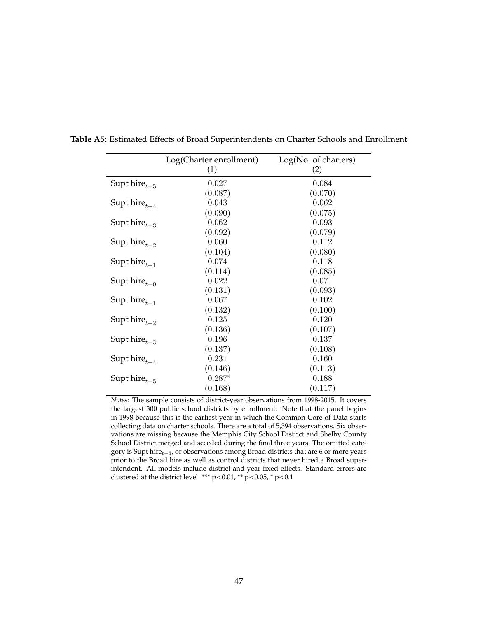|                     | Log(Charter enrollment) | Log(No. of characters) |
|---------------------|-------------------------|------------------------|
|                     | (1)                     | (2)                    |
| Supt hire $_{t+5}$  | 0.027                   | 0.084                  |
|                     | (0.087)                 | (0.070)                |
| Supt hire $t_{t+4}$ | 0.043                   | 0.062                  |
|                     | (0.090)                 | (0.075)                |
| Supt hire $_{t+3}$  | 0.062                   | 0.093                  |
|                     | (0.092)                 | (0.079)                |
| Supthire $t_{t+2}$  | 0.060                   | 0.112                  |
|                     | (0.104)                 | (0.080)                |
| Supt hire $_{t+1}$  | 0.074                   | 0.118                  |
|                     | (0.114)                 | (0.085)                |
| Supt hire $_{t=0}$  | $\,0.022\,$             | 0.071                  |
|                     | (0.131)                 | (0.093)                |
| Supt hire $_{t-1}$  | 0.067                   | $0.102\,$              |
|                     | (0.132)                 | (0.100)                |
| Supt hire $_{t-2}$  | 0.125                   | $0.120\,$              |
|                     | (0.136)                 | (0.107)                |
| Supt hire $_{t=3}$  | 0.196                   | 0.137                  |
|                     | (0.137)                 | (0.108)                |
| Supt hire $_{t-4}$  | 0.231                   | 0.160                  |
|                     | (0.146)                 | (0.113)                |
| Supt hire $_{t-5}$  | $0.287*$                | 0.188                  |
|                     | (0.168)                 | (0.117)                |

<span id="page-47-0"></span>**Table A5:** Estimated Effects of Broad Superintendents on Charter Schools and Enrollment

*Notes*: The sample consists of district-year observations from 1998-2015. It covers the largest 300 public school districts by enrollment. Note that the panel begins in 1998 because this is the earliest year in which the Common Core of Data starts collecting data on charter schools. There are a total of 5,394 observations. Six observations are missing because the Memphis City School District and Shelby County School District merged and seceded during the final three years. The omitted category is Supt hire $_{t+6}$ , or observations among Broad districts that are 6 or more years prior to the Broad hire as well as control districts that never hired a Broad superintendent. All models include district and year fixed effects. Standard errors are clustered at the district level. \*\*\* p<0.01, \*\* p<0.05, \* p<0.1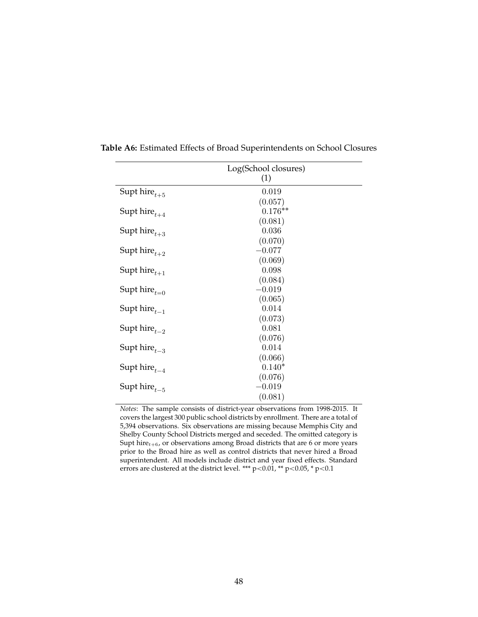|                     | Log(School closures) |
|---------------------|----------------------|
|                     | (1)                  |
| Supthire $_{t+5}$   | 0.019                |
|                     | (0.057)              |
| Supt hire $t_{t+4}$ | $0.176**$            |
|                     | (0.081)              |
| Supt hire $_{t+3}$  | 0.036                |
|                     | (0.070)              |
| Supt hire $_{t+2}$  | $-0.077$             |
|                     | (0.069)              |
| Supt hire $t_{t+1}$ | 0.098                |
|                     | (0.084)              |
| Supt hire $_{t=0}$  | $-0.019$             |
|                     | (0.065)              |
| Supt hire $_{t-1}$  | 0.014                |
|                     | (0.073)              |
| Supt hire $_{t-2}$  | 0.081                |
|                     | (0.076)              |
| Supthire $_{t-3}$   | 0.014                |
|                     | (0.066)              |
| Supt hire $_{t-4}$  | $0.140*$             |
|                     | (0.076)              |
| Supt hire $_{t-5}$  | $-0.019$             |
|                     | (0.081)              |
|                     |                      |

<span id="page-48-0"></span>**Table A6:** Estimated Effects of Broad Superintendents on School Closures

*Notes*: The sample consists of district-year observations from 1998-2015. It covers the largest 300 public school districts by enrollment. There are a total of 5,394 observations. Six observations are missing because Memphis City and Shelby County School Districts merged and seceded. The omitted category is Supt hire $_{t+6}$ , or observations among Broad districts that are 6 or more years prior to the Broad hire as well as control districts that never hired a Broad superintendent. All models include district and year fixed effects. Standard errors are clustered at the district level. \*\*\* p<0.01, \*\* p<0.05, \* p<0.1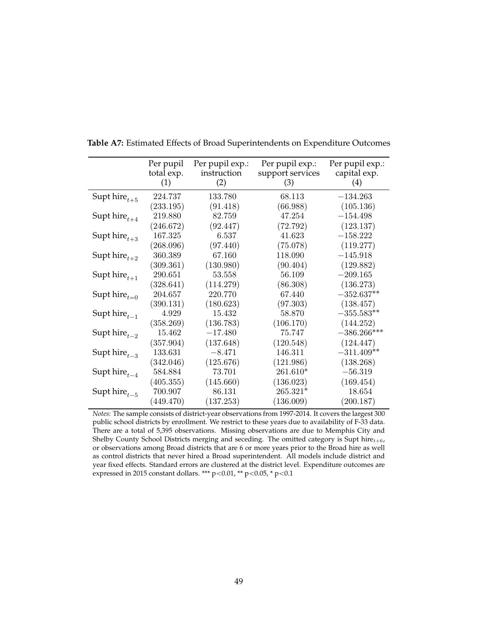|                    | Per pupil<br>total exp.<br>(1) | Per pupil exp.:<br>instruction<br>(2) | Per pupil exp.:<br>support services<br>(3) | Per pupil exp.:<br>capital exp.<br>(4) |
|--------------------|--------------------------------|---------------------------------------|--------------------------------------------|----------------------------------------|
| Supt hire $_{t+5}$ | 224.737                        | 133.780                               | 68.113                                     | $-134.263$                             |
|                    | (233.195)                      | (91.418)                              | (66.988)                                   | (105.136)                              |
| Supt hire $_{t+4}$ | 219.880                        | 82.759                                | 47.254                                     | $-154.498$                             |
|                    | (246.672)                      | (92.447)                              | (72.792)                                   | (123.137)                              |
| Supt hire $_{t+3}$ | 167.325                        | 6.537                                 | 41.623                                     | $-158.222$                             |
|                    | (268.096)                      | (97.440)                              | (75.078)                                   | (119.277)                              |
| Supt hire $_{t+2}$ | 360.389                        | 67.160                                | 118.090                                    | $-145.918$                             |
|                    | (309.361)                      | (130.980)                             | (90.404)                                   | (129.882)                              |
| Supt hire $_{t+1}$ | 290.651                        | 53.558                                | 56.109                                     | $-209.165$                             |
|                    | (328.641)                      | (114.279)                             | (86.308)                                   | (136.273)                              |
| Supt hire $_{t=0}$ | 204.657                        | 220.770                               | 67.440                                     | $-352.637**$                           |
|                    | (390.131)                      | (180.623)                             | (97.303)                                   | (138.457)                              |
| Supt hire $_{t-1}$ | 4.929                          | 15.432                                | 58.870                                     | $-355.583**$                           |
|                    | (358.269)                      | (136.783)                             | (106.170)                                  | (144.252)                              |
| Supt hire $_{t=2}$ | 15.462                         | $-17.480$                             | 75.747                                     | $-386.266***$                          |
|                    | (357.904)                      | (137.648)                             | (120.548)                                  | (124.447)                              |
| Supt hire $_{t=3}$ | 133.631                        | $-8.471$                              | 146.311                                    | $-311.409**$                           |
|                    | (342.046)                      | (125.676)                             | (121.986)                                  | (138.268)                              |
| Supt hire $_{t-4}$ | 584.884                        | 73.701                                | 261.610*                                   | $-56.319$                              |
|                    | (405.355)                      | (145.660)                             | (136.023)                                  | (169.454)                              |
| Supt hire $_{t-5}$ | 700.907                        | 86.131                                | 265.321*                                   | 18.654                                 |
|                    | (449.470)                      | (137.253)                             | (136.009)                                  | (200.187)                              |

<span id="page-49-0"></span>**Table A7:** Estimated Effects of Broad Superintendents on Expenditure Outcomes

*Notes*: The sample consists of district-year observations from 1997-2014. It covers the largest 300 public school districts by enrollment. We restrict to these years due to availability of F-33 data. There are a total of 5,395 observations. Missing observations are due to Memphis City and Shelby County School Districts merging and seceding. The omitted category is Supt hire $_{t+6}$ , or observations among Broad districts that are 6 or more years prior to the Broad hire as well as control districts that never hired a Broad superintendent. All models include district and year fixed effects. Standard errors are clustered at the district level. Expenditure outcomes are expressed in 2015 constant dollars. \*\*\* p<0.01, \*\* p<0.05, \* p<0.1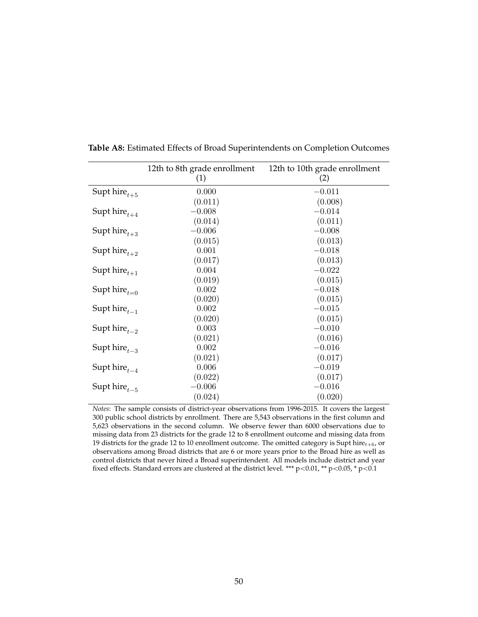|                    | 12th to 8th grade enrollment | 12th to 10th grade enrollment |
|--------------------|------------------------------|-------------------------------|
|                    | (1)                          | (2)                           |
| Supt hire $_{t+5}$ | 0.000                        | $-0.011$                      |
|                    | (0.011)                      | (0.008)                       |
| Supthire $t_{t+4}$ | $-0.008$                     | $-0.014$                      |
|                    | (0.014)                      | (0.011)                       |
| Supthire $t_{t+3}$ | $-0.006$                     | $-0.008$                      |
|                    | (0.015)                      | (0.013)                       |
| Supthire $t_{t+2}$ | 0.001                        | $-0.018$                      |
|                    | (0.017)                      | (0.013)                       |
| Supthire $t_{t+1}$ | 0.004                        | $-0.022$                      |
|                    | (0.019)                      | (0.015)                       |
| Supt hire $_{t=0}$ | 0.002                        | $-0.018$                      |
|                    | (0.020)                      | (0.015)                       |
| Supt hire $_{t-1}$ | 0.002                        | $-0.015$                      |
|                    | (0.020)                      | (0.015)                       |
| Supthire $_{t-2}$  | 0.003                        | $-0.010$                      |
|                    | (0.021)                      | (0.016)                       |
| Supthire $_{t-3}$  | 0.002                        | $-0.016$                      |
|                    | (0.021)                      | (0.017)                       |
| Supt hire $_{t-4}$ | 0.006                        | $-0.019$                      |
|                    | (0.022)                      | (0.017)                       |
| Supt hire $_{t-5}$ | $-0.006$                     | $-0.016$                      |
|                    | (0.024)                      | (0.020)                       |

<span id="page-50-0"></span>**Table A8:** Estimated Effects of Broad Superintendents on Completion Outcomes

*Notes*: The sample consists of district-year observations from 1996-2015. It covers the largest 300 public school districts by enrollment. There are 5,543 observations in the first column and 5,623 observations in the second column. We observe fewer than 6000 observations due to missing data from 23 districts for the grade 12 to 8 enrollment outcome and missing data from 19 districts for the grade 12 to 10 enrollment outcome. The omitted category is Supt hire $_{t+6}$ , or observations among Broad districts that are 6 or more years prior to the Broad hire as well as control districts that never hired a Broad superintendent. All models include district and year fixed effects. Standard errors are clustered at the district level. \*\*\* p<0.01, \*\* p<0.05, \* p<0.1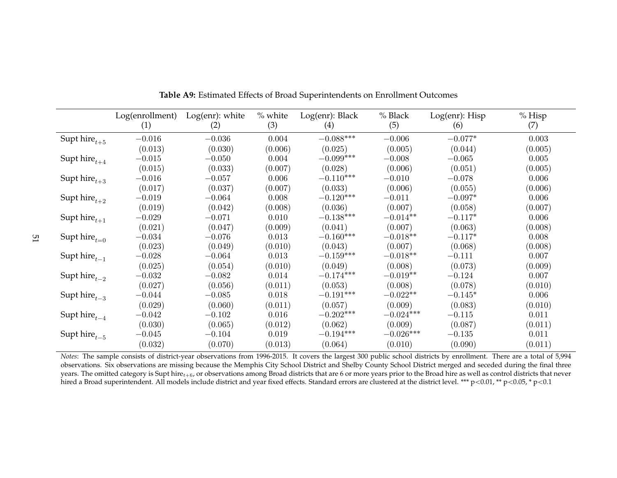|                          | Log(enrollment)<br>(1) | Log(enr): white<br>(2) | $%$ white<br>(3) | Log(enr): Black<br>(4) | % Black<br>(5) | Log(enr): Hisp<br>(6) | $%$ Hisp<br>(7) |
|--------------------------|------------------------|------------------------|------------------|------------------------|----------------|-----------------------|-----------------|
| Supt $\mbox{hire}_{t+5}$ | $-0.016$               | $-0.036$               | 0.004            | $-0.088***$            | $-0.006$       | $-0.077*$             | 0.003           |
|                          | (0.013)                | (0.030)                | (0.006)          | (0.025)                | (0.005)        | (0.044)               | (0.005)         |
| Supt $\mbox{hire}_{t+4}$ | $-0.015$               | $-0.050$               | 0.004            | $-0.099***$            | $-0.008$       | $-0.065$              | $0.005\,$       |
|                          | (0.015)                | (0.033)                | (0.007)          | (0.028)                | (0.006)        | (0.051)               | (0.005)         |
| Supt $\mbox{hire}_{t+3}$ | $-0.016$               | $-0.057$               | 0.006            | $-0.110***$            | $-0.010$       | $-0.078$              | 0.006           |
|                          | (0.017)                | (0.037)                | (0.007)          | (0.033)                | (0.006)        | (0.055)               | (0.006)         |
| Supt $\mbox{hire}_{t+2}$ | $-0.019$               | $-0.064$               | 0.008            | $-0.120***$            | $-0.011$       | $-0.097*$             | 0.006           |
|                          | (0.019)                | (0.042)                | (0.008)          | (0.036)                | (0.007)        | (0.058)               | (0.007)         |
| Supt $\mbox{hire}_{t+1}$ | $-0.029$               | $-0.071$               | 0.010            | $-0.138***$            | $-0.014**$     | $-0.117*$             | 0.006           |
|                          | (0.021)                | (0.047)                | (0.009)          | (0.041)                | (0.007)        | (0.063)               | (0.008)         |
| Supt $\mbox{hire}_{t=0}$ | $-0.034$               | $-0.076$               | 0.013            | $-0.160***$            | $-0.018**$     | $-0.117*$             | 0.008           |
|                          | (0.023)                | (0.049)                | (0.010)          | (0.043)                | (0.007)        | (0.068)               | (0.008)         |
| Supt $\mbox{hire}_{t-1}$ | $-0.028$               | $-0.064$               | 0.013            | $-0.159***$            | $-0.018**$     | $-0.111$              | 0.007           |
|                          | (0.025)                | (0.054)                | (0.010)          | (0.049)                | (0.008)        | (0.073)               | (0.009)         |
| Supt $\mbox{hire}_{t-2}$ | $-0.032$               | $-0.082$               | 0.014            | $-0.174***$            | $-0.019**$     | $-0.124$              | 0.007           |
|                          | (0.027)                | (0.056)                | (0.011)          | (0.053)                | (0.008)        | (0.078)               | (0.010)         |
| Supt $\text{hire}_{t-3}$ | $-0.044$               | $-0.085$               | 0.018            | $-0.191***$            | $-0.022**$     | $-0.145*$             | 0.006           |
|                          | (0.029)                | (0.060)                | (0.011)          | (0.057)                | (0.009)        | (0.083)               | (0.010)         |
| Supt $\mbox{hire}_{t-4}$ | $-0.042$               | $-0.102$               | 0.016            | $-0.202***$            | $-0.024***$    | $-0.115$              | 0.011           |
|                          | (0.030)                | (0.065)                | (0.012)          | (0.062)                | (0.009)        | (0.087)               | (0.011)         |
| Supt $\mbox{hire}_{t-5}$ | $-0.045$               | $-0.104$               | 0.019            | $-0.194***$            | $-0.026***$    | $-0.135$              | 0.011           |
|                          | (0.032)                | (0.070)                | (0.013)          | (0.064)                | (0.010)        | (0.090)               | (0.011)         |

**Table A9:** Estimated Effects of Broad Superintendents on Enrollment Outcomes

<span id="page-51-0"></span>*Notes*: The sample consists of district-year observations from 1996-2015. It covers the largest 300 public school districts by enrollment. There are <sup>a</sup> total of 5,994 observations. Six observations are missing because the Memphis City School District and Shelby County School District merged and seceded during the final threeyears. The omitted category is Supt hire $_{t+6}$ , or observations among Broad districts that are 6 or more years prior to the Broad hire as well as control districts that never hired a Broad superintendent. All models include district and year fixed effects. Standard errors are clustered at the district level. \*\*\* p<0.01, \*\* p<0.05, \* p<0.1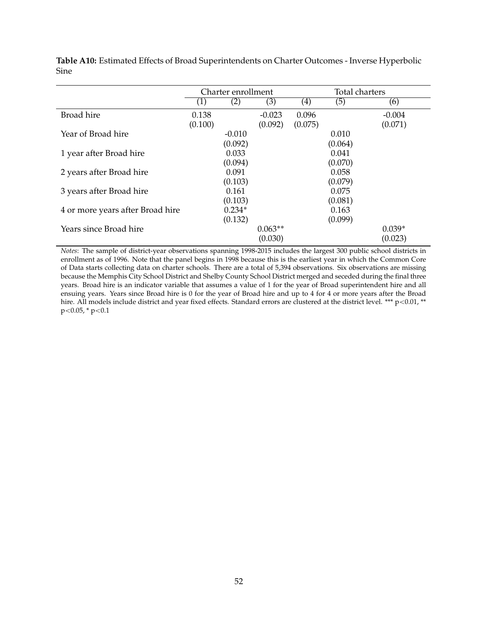|                                  | Charter enrollment |                     |                      | Total charters   |                  |                     |
|----------------------------------|--------------------|---------------------|----------------------|------------------|------------------|---------------------|
|                                  | (1)                | (2)                 | (3)                  | (4)              | (5)              | (6)                 |
| Broad hire                       | 0.138<br>(0.100)   |                     | $-0.023$<br>(0.092)  | 0.096<br>(0.075) |                  | $-0.004$<br>(0.071) |
| Year of Broad hire               |                    | $-0.010$<br>(0.092) |                      |                  | 0.010<br>(0.064) |                     |
| 1 year after Broad hire          |                    | 0.033<br>(0.094)    |                      |                  | 0.041<br>(0.070) |                     |
| 2 years after Broad hire         |                    | 0.091<br>(0.103)    |                      |                  | 0.058<br>(0.079) |                     |
| 3 years after Broad hire         |                    | 0.161<br>(0.103)    |                      |                  | 0.075<br>(0.081) |                     |
| 4 or more years after Broad hire |                    | $0.234*$<br>(0.132) |                      |                  | 0.163<br>(0.099) |                     |
| Years since Broad hire           |                    |                     | $0.063**$<br>(0.030) |                  |                  | $0.039*$<br>(0.023) |

**Table A10:** Estimated Effects of Broad Superintendents on Charter Outcomes - Inverse Hyperbolic Sine

*Notes*: The sample of district-year observations spanning 1998-2015 includes the largest 300 public school districts in enrollment as of 1996. Note that the panel begins in 1998 because this is the earliest year in which the Common Core of Data starts collecting data on charter schools. There are a total of 5,394 observations. Six observations are missing because the Memphis City School District and Shelby County School District merged and seceded during the final three years. Broad hire is an indicator variable that assumes a value of 1 for the year of Broad superintendent hire and all ensuing years. Years since Broad hire is 0 for the year of Broad hire and up to 4 for 4 or more years after the Broad hire. All models include district and year fixed effects. Standard errors are clustered at the district level. \*\*\*  $p$  < 0.01, \*\*  $p<0.05$ , \*  $p<0.1$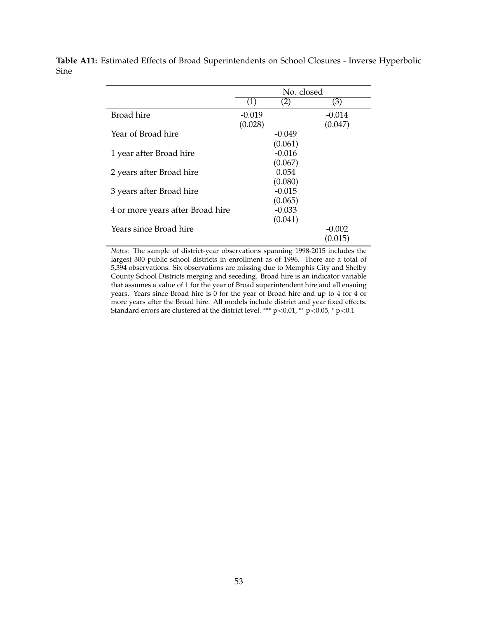|                                  | No. closed        |          |            |  |
|----------------------------------|-------------------|----------|------------|--|
|                                  | $\left( 1\right)$ | (2)      | (3)        |  |
| Broad hire                       | $-0.019$          |          | $-0.014$   |  |
|                                  | (0.028)           |          | (0.047)    |  |
| Year of Broad hire               |                   | $-0.049$ |            |  |
|                                  |                   | (0.061)  |            |  |
| 1 year after Broad hire          |                   | $-0.016$ |            |  |
|                                  |                   | (0.067)  |            |  |
| 2 years after Broad hire         |                   | 0.054    |            |  |
|                                  |                   | (0.080)  |            |  |
| 3 years after Broad hire         |                   | $-0.015$ |            |  |
|                                  |                   | (0.065)  |            |  |
| 4 or more years after Broad hire |                   | $-0.033$ |            |  |
|                                  |                   | (0.041)  |            |  |
| Years since Broad hire           |                   |          | $-(1.002)$ |  |
|                                  |                   |          | (0.015)    |  |

**Table A11:** Estimated Effects of Broad Superintendents on School Closures - Inverse Hyperbolic Sine

> *Notes*: The sample of district-year observations spanning 1998-2015 includes the largest 300 public school districts in enrollment as of 1996. There are a total of 5,394 observations. Six observations are missing due to Memphis City and Shelby County School Districts merging and seceding. Broad hire is an indicator variable that assumes a value of 1 for the year of Broad superintendent hire and all ensuing years. Years since Broad hire is 0 for the year of Broad hire and up to 4 for 4 or more years after the Broad hire. All models include district and year fixed effects. Standard errors are clustered at the district level. \*\*\* p<0.01, \*\* p<0.05, \* p<0.1